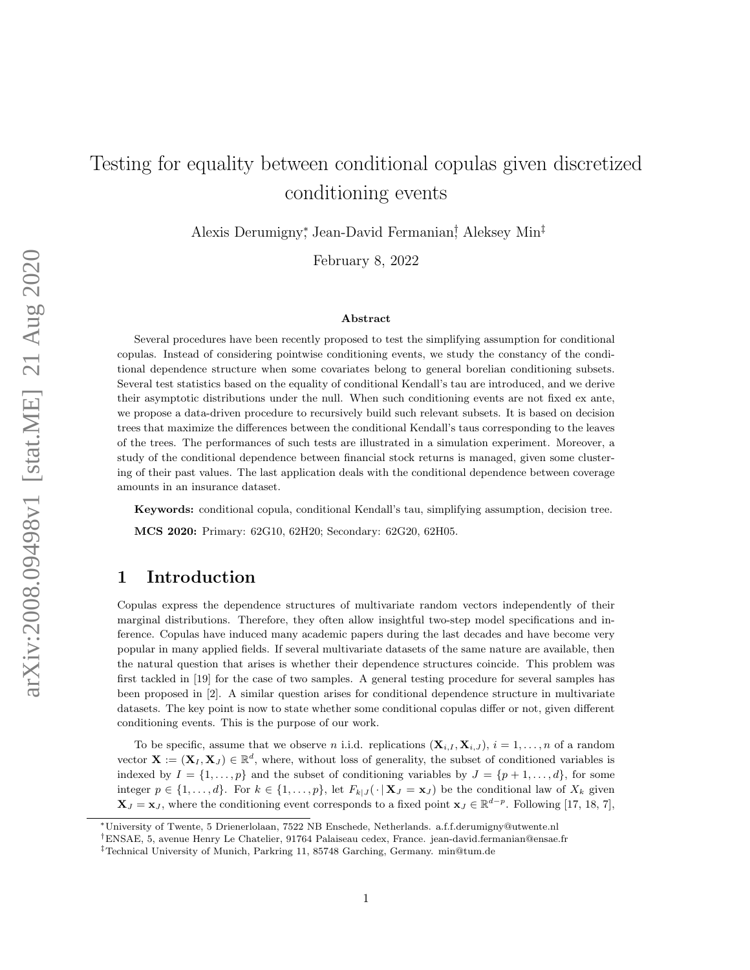# Testing for equality between conditional copulas given discretized conditioning events

Alexis Derumigny<sup>∗</sup> , Jean-David Fermanian† , Aleksey Min‡

February 8, 2022

#### Abstract

Several procedures have been recently proposed to test the simplifying assumption for conditional copulas. Instead of considering pointwise conditioning events, we study the constancy of the conditional dependence structure when some covariates belong to general borelian conditioning subsets. Several test statistics based on the equality of conditional Kendall's tau are introduced, and we derive their asymptotic distributions under the null. When such conditioning events are not fixed ex ante, we propose a data-driven procedure to recursively build such relevant subsets. It is based on decision trees that maximize the differences between the conditional Kendall's taus corresponding to the leaves of the trees. The performances of such tests are illustrated in a simulation experiment. Moreover, a study of the conditional dependence between financial stock returns is managed, given some clustering of their past values. The last application deals with the conditional dependence between coverage amounts in an insurance dataset.

Keywords: conditional copula, conditional Kendall's tau, simplifying assumption, decision tree. MCS 2020: Primary: 62G10, 62H20; Secondary: 62G20, 62H05.

## 1 Introduction

Copulas express the dependence structures of multivariate random vectors independently of their marginal distributions. Therefore, they often allow insightful two-step model specifications and inference. Copulas have induced many academic papers during the last decades and have become very popular in many applied fields. If several multivariate datasets of the same nature are available, then the natural question that arises is whether their dependence structures coincide. This problem was first tackled in [\[19\]](#page-23-0) for the case of two samples. A general testing procedure for several samples has been proposed in [\[2\]](#page-22-0). A similar question arises for conditional dependence structure in multivariate datasets. The key point is now to state whether some conditional copulas differ or not, given different conditioning events. This is the purpose of our work.

To be specific, assume that we observe *n* i.i.d. replications  $(\mathbf{X}_{i,I}, \mathbf{X}_{i,J})$ ,  $i = 1, \ldots, n$  of a random vector  $\mathbf{X} := (\mathbf{X}_I, \mathbf{X}_J) \in \mathbb{R}^d$ , where, without loss of generality, the subset of conditioned variables is indexed by  $I = \{1, \ldots, p\}$  and the subset of conditioning variables by  $J = \{p+1, \ldots, d\}$ , for some integer  $p \in \{1, ..., d\}$ . For  $k \in \{1, ..., p\}$ , let  $F_{k|J}(\cdot | \mathbf{X}_J = \mathbf{x}_J)$  be the conditional law of  $X_k$  given  $\mathbf{X}_J = \mathbf{x}_J$ , where the conditioning event corresponds to a fixed point  $\mathbf{x}_J \in \mathbb{R}^{d-p}$ . Following [\[17,](#page-23-1) [18,](#page-23-2) [7\]](#page-22-1),

<sup>∗</sup>University of Twente, 5 Drienerlolaan, 7522 NB Enschede, Netherlands. a.f.f.derumigny@utwente.nl

<sup>†</sup>ENSAE, 5, avenue Henry Le Chatelier, 91764 Palaiseau cedex, France. jean-david.fermanian@ensae.fr

<sup>‡</sup>Technical University of Munich, Parkring 11, 85748 Garching, Germany. min@tum.de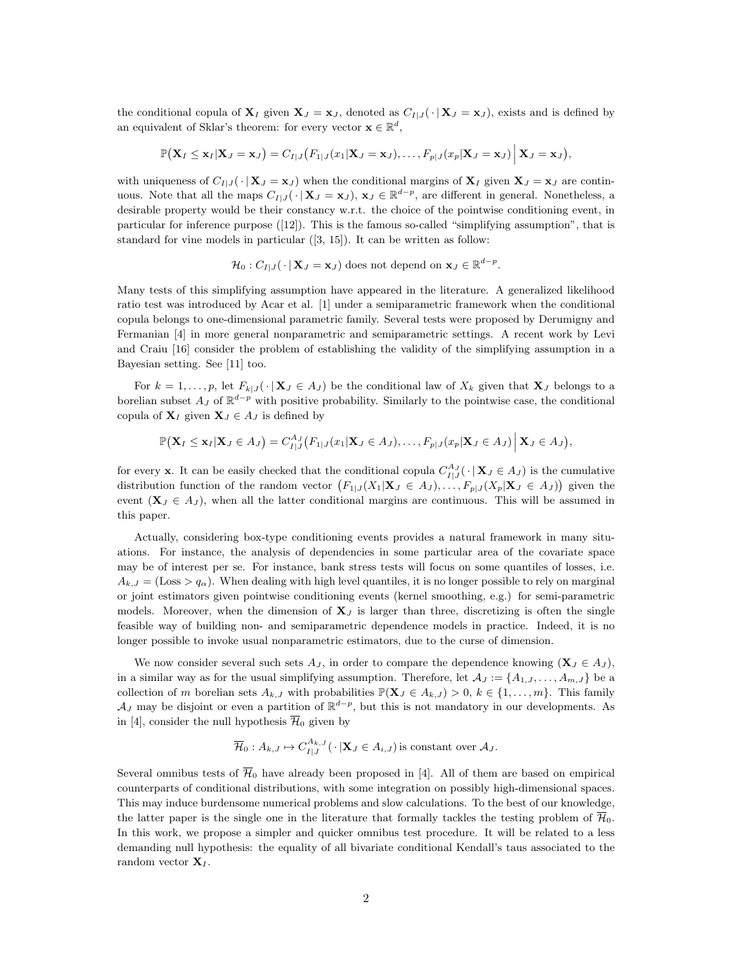the conditional copula of  $X_I$  given  $X_J = x_J$ , denoted as  $C_{I|J}(\cdot | X_J = x_J)$ , exists and is defined by an equivalent of Sklar's theorem: for every vector  $\mathbf{x} \in \mathbb{R}^d$ ,

$$
\mathbb{P}(\mathbf{X}_I \leq \mathbf{x}_I|\mathbf{X}_J = \mathbf{x}_J) = C_{I|J}(F_{1|J}(x_1|\mathbf{X}_J = \mathbf{x}_J), \ldots, F_{p|J}(x_p|\mathbf{X}_J = \mathbf{x}_J) | \mathbf{X}_J = \mathbf{x}_J),
$$

with uniqueness of  $C_{I|J}(\cdot | \mathbf{X}_J = \mathbf{x}_J)$  when the conditional margins of  $\mathbf{X}_I$  given  $\mathbf{X}_J = \mathbf{x}_J$  are continuous. Note that all the maps  $C_{I|J}(\cdot | \mathbf{X}_J = \mathbf{x}_J)$ ,  $\mathbf{x}_J \in \mathbb{R}^{d-p}$ , are different in general. Nonetheless, a desirable property would be their constancy w.r.t. the choice of the pointwise conditioning event, in particular for inference purpose ([\[12\]](#page-23-3)). This is the famous so-called "simplifying assumption", that is standard for vine models in particular ([\[3,](#page-22-2) [15\]](#page-23-4)). It can be written as follow:

$$
\mathcal{H}_0: C_{I|J}(\cdot | \mathbf{X}_J = \mathbf{x}_J) \text{ does not depend on } \mathbf{x}_J \in \mathbb{R}^{d-p}.
$$

Many tests of this simplifying assumption have appeared in the literature. A generalized likelihood ratio test was introduced by Acar et al. [\[1\]](#page-22-3) under a semiparametric framework when the conditional copula belongs to one-dimensional parametric family. Several tests were proposed by Derumigny and Fermanian [\[4\]](#page-22-4) in more general nonparametric and semiparametric settings. A recent work by Levi and Craiu [\[16\]](#page-23-5) consider the problem of establishing the validity of the simplifying assumption in a Bayesian setting. See [\[11\]](#page-23-6) too.

For  $k = 1, \ldots, p$ , let  $F_{k|J}(\cdot | \mathbf{X}_J \in A_J)$  be the conditional law of  $X_k$  given that  $\mathbf{X}_J$  belongs to a borelian subset  $A_J$  of  $\mathbb{R}^{d-p}$  with positive probability. Similarly to the pointwise case, the conditional copula of  $X_I$  given  $X_J \in A_J$  is defined by

$$
\mathbb{P}\big(\mathbf{X}_I\leq \mathbf{x}_I|\mathbf{X}_J\in A_J\big)=C_{I|J}^{A_J}\big(F_{1|J}(x_1|\mathbf{X}_J\in A_J),\ldots,F_{p|J}(x_p|\mathbf{X}_J\in A_J)\Big|\mathbf{X}_J\in A_J\big),
$$

for every **x**. It can be easily checked that the conditional copula  $C_{I|J}^{A_{J}}(\cdot | \mathbf{X}_{J} \in A_{J})$  is the cumulative distribution function of the random vector  $(F_{1|J}(X_1|\mathbf{X}_J \in A_J),..., F_{p|J}(X_p|\mathbf{X}_J \in A_J))$  given the event  $(X_J \in A_J)$ , when all the latter conditional margins are continuous. This will be assumed in this paper.

Actually, considering box-type conditioning events provides a natural framework in many situations. For instance, the analysis of dependencies in some particular area of the covariate space may be of interest per se. For instance, bank stress tests will focus on some quantiles of losses, i.e.  $A_{k,J} = (Loss > q_\alpha)$ . When dealing with high level quantiles, it is no longer possible to rely on marginal or joint estimators given pointwise conditioning events (kernel smoothing, e.g.) for semi-parametric models. Moreover, when the dimension of  $X_J$  is larger than three, discretizing is often the single feasible way of building non- and semiparametric dependence models in practice. Indeed, it is no longer possible to invoke usual nonparametric estimators, due to the curse of dimension.

We now consider several such sets  $A_J$ , in order to compare the dependence knowing  $(X_J \in A_J)$ , in a similar way as for the usual simplifying assumption. Therefore, let  $\mathcal{A}_J := \{A_{1,J}, \ldots, A_{m,J}\}\$  be a collection of m borelian sets  $A_{k,J}$  with probabilities  $\mathbb{P}(\mathbf{X}_J \in A_{k,J}) > 0, k \in \{1, ..., m\}$ . This family  $\mathcal{A}_J$  may be disjoint or even a partition of  $\mathbb{R}^{d-p}$ , but this is not mandatory in our developments. As in [\[4\]](#page-22-4), consider the null hypothesis  $\overline{\mathcal{H}}_0$  given by

$$
\overline{\mathcal{H}}_0: A_{k,J} \mapsto C_{I|J}^{A_{k,J}}(\cdot | \mathbf{X}_J \in A_{i,J})
$$
 is constant over  $\mathcal{A}_J$ .

Several omnibus tests of  $\overline{\mathcal{H}}_0$  have already been proposed in [\[4\]](#page-22-4). All of them are based on empirical counterparts of conditional distributions, with some integration on possibly high-dimensional spaces. This may induce burdensome numerical problems and slow calculations. To the best of our knowledge, the latter paper is the single one in the literature that formally tackles the testing problem of  $\mathcal{H}_0$ . In this work, we propose a simpler and quicker omnibus test procedure. It will be related to a less demanding null hypothesis: the equality of all bivariate conditional Kendall's taus associated to the random vector  $\mathbf{X}_I$ .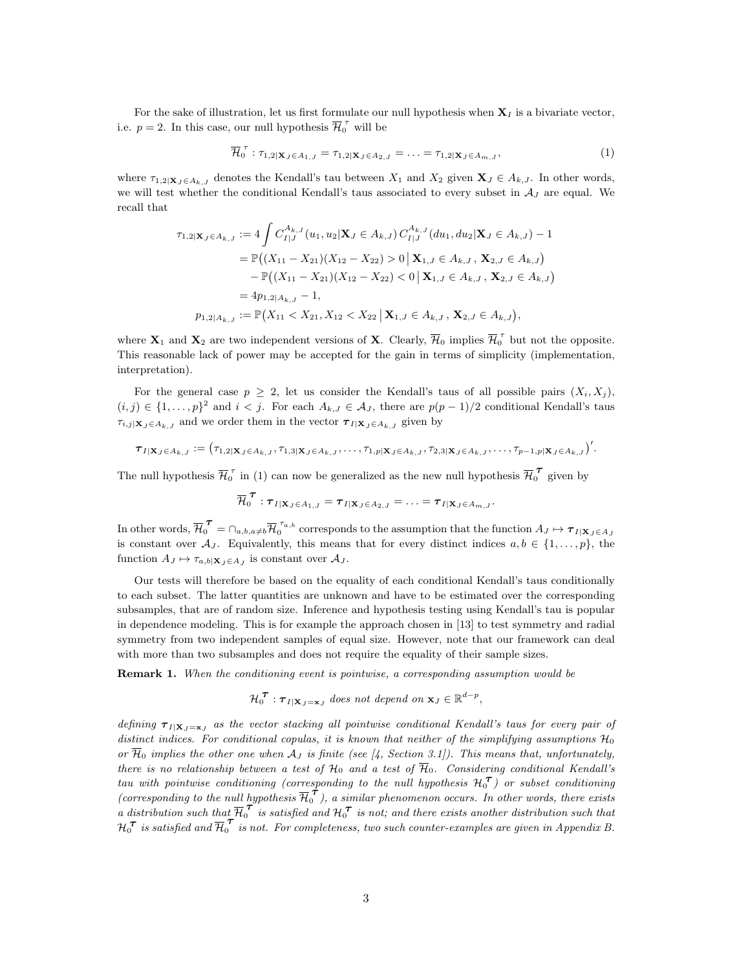For the sake of illustration, let us first formulate our null hypothesis when  $X<sub>I</sub>$  is a bivariate vector, i.e.  $p = 2$ . In this case, our null hypothesis  $\overline{\mathcal{H}}_0^{\tau}$  will be

<span id="page-2-0"></span>
$$
\overline{\mathcal{H}}_0^{\tau} : \tau_{1,2|\mathbf{X}_J \in A_{1,J}} = \tau_{1,2|\mathbf{X}_J \in A_{2,J}} = \ldots = \tau_{1,2|\mathbf{X}_J \in A_{m,J}},\tag{1}
$$

where  $\tau_{1,2|\mathbf{X}_J \in A_{k,J}}$  denotes the Kendall's tau between  $X_1$  and  $X_2$  given  $\mathbf{X}_J \in A_{k,J}$ . In other words, we will test whether the conditional Kendall's taus associated to every subset in  $A_J$  are equal. We recall that

$$
\tau_{1,2|\mathbf{X}_J \in A_{k,J}} := 4 \int C_{I|J}^{A_{k,J}}(u_1, u_2 | \mathbf{X}_J \in A_{k,J}) C_{I|J}^{A_{k,J}}(du_1, du_2 | \mathbf{X}_J \in A_{k,J}) - 1
$$
  
\n
$$
= \mathbb{P}((X_{11} - X_{21})(X_{12} - X_{22}) > 0 | \mathbf{X}_{1,J} \in A_{k,J}, \mathbf{X}_{2,J} \in A_{k,J})
$$
  
\n
$$
- \mathbb{P}((X_{11} - X_{21})(X_{12} - X_{22}) < 0 | \mathbf{X}_{1,J} \in A_{k,J}, \mathbf{X}_{2,J} \in A_{k,J})
$$
  
\n
$$
= 4p_{1,2|A_{k,J}} - 1,
$$
  
\n
$$
p_{1,2|A_{k,J}} := \mathbb{P}(X_{11} < X_{21}, X_{12} < X_{22} | \mathbf{X}_{1,J} \in A_{k,J}, \mathbf{X}_{2,J} \in A_{k,J}),
$$

where  $\mathbf{X}_1$  and  $\mathbf{X}_2$  are two independent versions of **X**. Clearly,  $\overline{\mathcal{H}}_0$  implies  $\overline{\mathcal{H}}_0^{\tau}$  but not the opposite. This reasonable lack of power may be accepted for the gain in terms of simplicity (implementation, interpretation).

For the general case  $p \geq 2$ , let us consider the Kendall's taus of all possible pairs  $(X_i, X_j)$ ,  $(i, j) \in \{1, \ldots, p\}^2$  and  $i < j$ . For each  $A_{k,J} \in \mathcal{A}_J$ , there are  $p(p-1)/2$  conditional Kendall's taus  $\tau_{i,j|\mathbf{X}_J \in A_{k,J}}$  and we order them in the vector  $\boldsymbol{\tau}_{I|\mathbf{X}_J \in A_{k,J}}$  given by

$$
\boldsymbol{\tau}_{I|\mathbf{X}_J\in A_{k,J}}:=\left(\tau_{1,2|\mathbf{X}_J\in A_{k,J}},\tau_{1,3|\mathbf{X}_J\in A_{k,J}},\ldots,\tau_{1,p|\mathbf{X}_J\in A_{k,J}},\tau_{2,3|\mathbf{X}_J\in A_{k,J}},\ldots,\tau_{p-1,p|\mathbf{X}_J\in A_{k,J}}\right)'.
$$

The null hypothesis  $\overline{\mathcal{H}}_0^{\tau}$  in [\(1\)](#page-2-0) can now be generalized as the new null hypothesis  $\overline{\mathcal{H}}_0^{\tau}$  given by

$$
\overline{\mathcal{H}}_0^{\boldsymbol{\tau}}: \boldsymbol{\tau}_{I|\mathbf{X}_J\in A_{1,J}}=\boldsymbol{\tau}_{I|\mathbf{X}_J\in A_{2,J}}=\ldots=\boldsymbol{\tau}_{I|\mathbf{X}_J\in A_{m,J}}.
$$

In other words,  $\overline{\mathcal{H}}_0^{\,\,\boldsymbol{\tau}} = \cap_{a,b,a\neq b} \overline{\mathcal{H}}_0^{\,\,\tau_a,b}$  corresponds to the assumption that the function  $A_J \mapsto \boldsymbol{\tau}_{I|\mathbf{X}_J \in A_J}$ is constant over  $\mathcal{A}_J$ . Equivalently, this means that for every distinct indices  $a, b \in \{1, \ldots, p\}$ , the function  $A_J \mapsto \tau_{a,b|\mathbf{X}_J \in A_J}$  is constant over  $A_J$ .

Our tests will therefore be based on the equality of each conditional Kendall's taus conditionally to each subset. The latter quantities are unknown and have to be estimated over the corresponding subsamples, that are of random size. Inference and hypothesis testing using Kendall's tau is popular in dependence modeling. This is for example the approach chosen in [\[13\]](#page-23-7) to test symmetry and radial symmetry from two independent samples of equal size. However, note that our framework can deal with more than two subsamples and does not require the equality of their sample sizes.

**Remark 1.** When the conditioning event is pointwise, a corresponding assumption would be

$$
\mathcal{H}_0^{\mathcal{T}} : \mathcal{T}_{I|\mathbf{X}_J=\mathbf{x}_J} \text{ does not depend on } \mathbf{x}_J \in \mathbb{R}^{d-p},
$$

defining  $\tau_{I|X_J=x_J}$  as the vector stacking all pointwise conditional Kendall's taus for every pair of distinct indices. For conditional copulas, it is known that neither of the simplifying assumptions  $\mathcal{H}_0$ or  $\overline{\mathcal{H}}_0$  implies the other one when  $\mathcal{A}_J$  is finite (see [\[4,](#page-22-4) Section 3.1]). This means that, unfortunately, there is no relationship between a test of  $\mathcal{H}_0$  and a test of  $\overline{\mathcal{H}}_0$ . Considering conditional Kendall's tau with pointwise conditioning (corresponding to the null hypothesis  $\mathcal{H}_0^{\mathcal{T}}$ ) or subset conditioning (corresponding to the null hypothesis  $\overline{H}_0^{\tau}$ ), a similar phenomenon occurs. In other words, there exists a distribution such that  $\overline{\mathcal{H}}_0^{\sigma}$  is satisfied and  $\mathcal{H}_0^{\sigma}$  is not; and there exists another distribution such that  $\mathcal{H}_{0}^{\boldsymbol{\tau}}$  is satisfied and  $\overline{\mathcal{H}}_{0}^{\boldsymbol{\tau}}$  is not. For completeness, two such counter-examples are given in Appendix [B.](#page-27-0)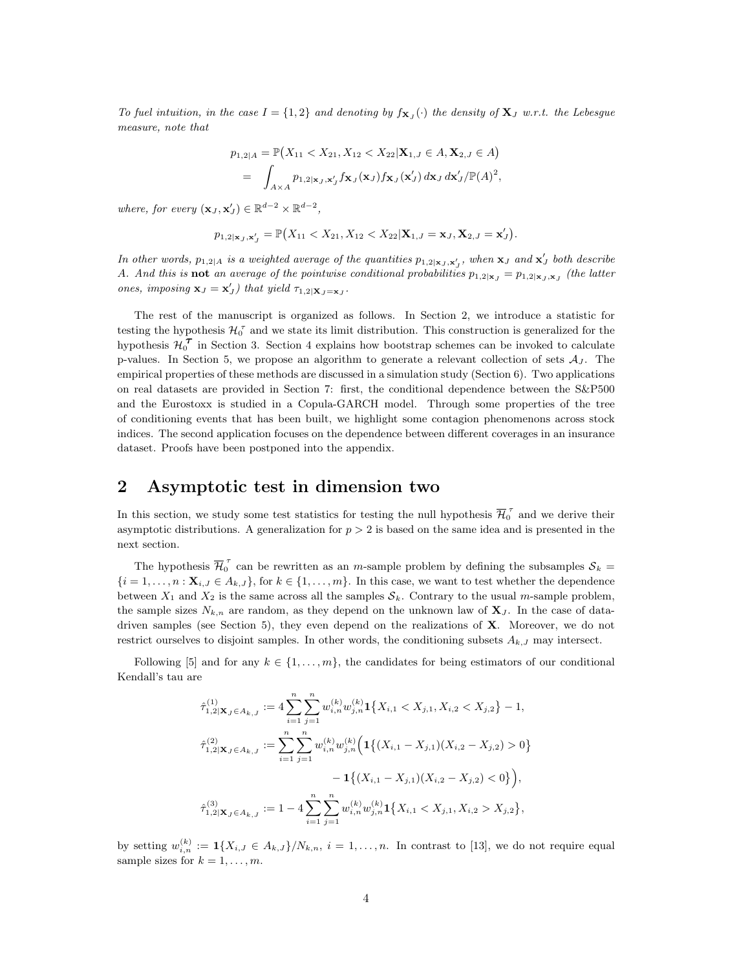To fuel intuition, in the case  $I = \{1,2\}$  and denoting by  $f_{\mathbf{X}_J}(\cdot)$  the density of  $\mathbf{X}_J$  w.r.t. the Lebesgue measure, note that

$$
p_{1,2|A} = \mathbb{P}\big(X_{11} < X_{21}, X_{12} < X_{22} | \mathbf{X}_{1,J} \in A, \mathbf{X}_{2,J} \in A\big)
$$
\n
$$
= \int_{A \times A} p_{1,2|\mathbf{x}_J,\mathbf{x}'_J} f_{\mathbf{X}_J}(\mathbf{x}_J) f_{\mathbf{X}_J}(\mathbf{x}'_J) d\mathbf{x}_J d\mathbf{x}'_J / \mathbb{P}(A)^2,
$$

where, for every  $(\mathbf{x}_J, \mathbf{x}'_J) \in \mathbb{R}^{d-2} \times \mathbb{R}^{d-2}$ ,

$$
p_{1,2|\mathbf{x}_J,\mathbf{x}'_J} = \mathbb{P}\big(X_{11} < X_{21}, X_{12} < X_{22}|\mathbf{X}_{1,J} = \mathbf{x}_J, \mathbf{X}_{2,J} = \mathbf{x}'_J\big).
$$

In other words,  $p_{1,2|A}$  is a weighted average of the quantities  $p_{1,2|x_J, \mathbf{x}'_J}$ , when  $\mathbf{x}_J$  and  $\mathbf{x}'_J$  both describe A. And this is **not** an average of the pointwise conditional probabilities  $p_{1,2|x_J} = p_{1,2|x_J,\mathbf{x}_J}$  (the latter ones, imposing  $\mathbf{x}_J = \mathbf{x}'_J$ ) that yield  $\tau_{1,2|\mathbf{X}_J = \mathbf{x}_J}$ .

The rest of the manuscript is organized as follows. In Section [2,](#page-3-0) we introduce a statistic for testing the hypothesis  $\mathcal{H}_0^{\tau}$  and we state its limit distribution. This construction is generalized for the hypothesis  $\mathcal{H}_0^{\mathcal{T}}$  in Section [3.](#page-6-0) Section [4](#page-8-0) explains how bootstrap schemes can be invoked to calculate p-values. In Section [5,](#page-8-1) we propose an algorithm to generate a relevant collection of sets  $A_J$ . The empirical properties of these methods are discussed in a simulation study (Section [6\)](#page-11-0). Two applications on real datasets are provided in Section [7:](#page-17-0) first, the conditional dependence between the S&P500 and the Eurostoxx is studied in a Copula-GARCH model. Through some properties of the tree of conditioning events that has been built, we highlight some contagion phenomenons across stock indices. The second application focuses on the dependence between different coverages in an insurance dataset. Proofs have been postponed into the appendix.

## <span id="page-3-0"></span>2 Asymptotic test in dimension two

In this section, we study some test statistics for testing the null hypothesis  $\overline{\mathcal{H}}_0^{\tau}$  and we derive their asymptotic distributions. A generalization for  $p > 2$  is based on the same idea and is presented in the next section.

The hypothesis  $\overline{\mathcal{H}}_0^{\tau}$  can be rewritten as an *m*-sample problem by defining the subsamples  $\mathcal{S}_k =$  ${i = 1, \ldots, n : \mathbf{X}_{i,J} \in A_{k,J}}$ , for  $k \in \{1, \ldots, m\}$ . In this case, we want to test whether the dependence between  $X_1$  and  $X_2$  is the same across all the samples  $S_k$ . Contrary to the usual m-sample problem, the sample sizes  $N_{k,n}$  are random, as they depend on the unknown law of  $X_j$ . In the case of data-driven samples (see Section [5\)](#page-8-1), they even depend on the realizations of  $X$ . Moreover, we do not restrict ourselves to disjoint samples. In other words, the conditioning subsets  $A_{k,J}$  may intersect.

Following [\[5\]](#page-22-5) and for any  $k \in \{1, \ldots, m\}$ , the candidates for being estimators of our conditional Kendall's tau are

$$
\hat{\tau}_{1,2|\mathbf{X}_J \in A_{k,J}}^{(1)} := 4 \sum_{i=1}^n \sum_{j=1}^n w_{i,n}^{(k)} w_{j,n}^{(k)} \mathbf{1}_{\{X_{i,1} < X_{j,1}, X_{i,2} < X_{j,2}\} - 1,
$$
\n
$$
\hat{\tau}_{1,2|\mathbf{X}_J \in A_{k,J}}^{(2)} := \sum_{i=1}^n \sum_{j=1}^n w_{i,n}^{(k)} w_{j,n}^{(k)} \left( \mathbf{1}_{\{ (X_{i,1} - X_{j,1}) (X_{i,2} - X_{j,2}) > 0 \} - 1_{\{ (X_{i,1} - X_{j,1}) (X_{i,2} - X_{j,2}) < 0 \} \right)},
$$
\n
$$
\hat{\tau}_{1,2|\mathbf{X}_J \in A_{k,J}}^{(3)} := 1 - 4 \sum_{i=1}^n \sum_{j=1}^n w_{i,n}^{(k)} w_{j,n}^{(k)} \mathbf{1}_{\{X_{i,1} < X_{j,1}, X_{i,2} > X_{j,2}\},
$$

by setting  $w_{i,n}^{(k)} := \mathbf{1}\{X_{i,J} \in A_{k,J}\}/N_{k,n}, i = 1,\ldots,n$ . In contrast to [\[13\]](#page-23-7), we do not require equal sample sizes for  $k = 1, \ldots, m$ .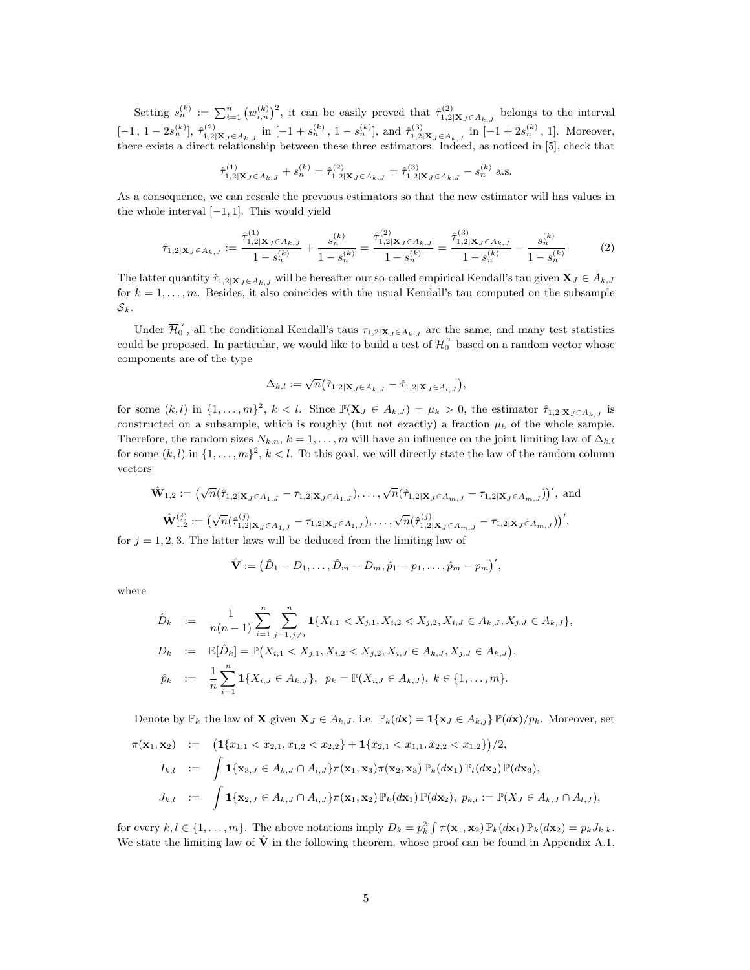Setting  $s_n^{(k)} := \sum_{i=1}^n (w_{i,n}^{(k)})^2$ , it can be easily proved that  $\hat{\tau}_{1,2|\mathbf{X}_J \in A_{k,J}}^{(2)}$  belongs to the interval  $[-1, 1-2s_n^{(k)}], \hat{\tau}_{1,2|\mathbf{X}_J \in A_{k,J}}^{(2)}$  in  $[-1+s_n^{(k)}, 1-s_n^{(k)}]$ , and  $\hat{\tau}_{1,2|\mathbf{X}_J \in A_{k,J}}^{(3)}$  in  $[-1+2s_n^{(k)}, 1]$ . Moreover, there exists a direct relationship between these three estimators. Indeed, as noticed in [\[5\]](#page-22-5), check that

$$
\hat{\tau}^{(1)}_{1,2|{\bf X}_J\in A_{k,J}}+s^{(k)}_n=\hat{\tau}^{(2)}_{1,2|{\bf X}_J\in A_{k,J}}=\hat{\tau}^{(3)}_{1,2|{\bf X}_J\in A_{k,J}}-s^{(k)}_n\text{ a.s.}
$$

As a consequence, we can rescale the previous estimators so that the new estimator will has values in the whole interval  $[-1, 1]$ . This would yield

<span id="page-4-0"></span>
$$
\hat{\tau}_{1,2|\mathbf{X}_J \in A_{k,J}} := \frac{\hat{\tau}_{1,2|\mathbf{X}_J \in A_{k,J}}^{(1)}}{1 - s_n^{(k)}} + \frac{s_n^{(k)}}{1 - s_n^{(k)}} = \frac{\hat{\tau}_{1,2|\mathbf{X}_J \in A_{k,J}}^{(2)}}{1 - s_n^{(k)}} = \frac{\hat{\tau}_{1,2|\mathbf{X}_J \in A_{k,J}}^{(3)}}{1 - s_n^{(k)}} - \frac{s_n^{(k)}}{1 - s_n^{(k)}}. \tag{2}
$$

The latter quantity  $\hat{\tau}_{1,2|\mathbf{X}_J \in A_{k,J}}$  will be hereafter our so-called empirical Kendall's tau given  $\mathbf{X}_J \in A_{k,J}$ for  $k = 1, \ldots, m$ . Besides, it also coincides with the usual Kendall's tau computed on the subsample  ${\cal S}_k.$ 

Under  $\overline{\mathcal{H}}_0^{\tau}$ , all the conditional Kendall's taus  $\tau_{1,2|\mathbf{X}_J \in A_{k,J}}$  are the same, and many test statistics could be proposed. In particular, we would like to build a test of  $\overline{\mathcal{H}}_0^{\tau}$  based on a random vector whose components are of the type

$$
\Delta_{k,l} := \sqrt{n} \left( \hat{\tau}_{1,2|\mathbf{X}_J \in A_{k,J}} - \hat{\tau}_{1,2|\mathbf{X}_J \in A_{l,J}} \right),
$$

for some  $(k, l)$  in  $\{1, \ldots, m\}^2$ ,  $k < l$ . Since  $\mathbb{P}(\mathbf{X}_J \in A_{k,J}) = \mu_k > 0$ , the estimator  $\hat{\tau}_{1,2|\mathbf{X}_J \in A_{k,J}}$  is constructed on a subsample, which is roughly (but not exactly) a fraction  $\mu_k$  of the whole sample. Therefore, the random sizes  $N_{k,n}$ ,  $k = 1, \ldots, m$  will have an influence on the joint limiting law of  $\Delta_{k,l}$ for some  $(k, l)$  in  $\{1, \ldots, m\}^2$ ,  $k < l$ . To this goal, we will directly state the law of the random column vectors

$$
\hat{\mathbf{W}}_{1,2} := \left( \sqrt{n} (\hat{\tau}_{1,2|X_J \in A_{1,J}} - \tau_{1,2|X_J \in A_{1,J}}), \dots, \sqrt{n} (\hat{\tau}_{1,2|X_J \in A_{m,J}} - \tau_{1,2|X_J \in A_{m,J}}) \right)', \text{ and}
$$
\n
$$
\hat{\mathbf{W}}_{1,2}^{(j)} := \left( \sqrt{n} (\hat{\tau}_{1,2|X_J \in A_{1,J}}^{(j)} - \tau_{1,2|X_J \in A_{1,J}}), \dots, \sqrt{n} (\hat{\tau}_{1,2|X_J \in A_{m,J}}^{(j)} - \tau_{1,2|X_J \in A_{m,J}}) \right)',
$$
\n1.9.3. The latter here will be deduced from the limiting long of

for  $j = 1, 2, 3$ . The latter laws will be deduced from the limiting law of

$$
\hat{\mathbf{V}} := (\hat{D}_1 - D_1, \dots, \hat{D}_m - D_m, \hat{p}_1 - p_1, \dots, \hat{p}_m - p_m)',
$$

where

$$
\hat{D}_k := \frac{1}{n(n-1)} \sum_{i=1}^n \sum_{j=1, j \neq i}^n \mathbf{1}\{X_{i,1} < X_{j,1}, X_{i,2} < X_{j,2}, X_{i,J} \in A_{k,J}, X_{j,J} \in A_{k,J}\},
$$
\n
$$
D_k := \mathbb{E}[\hat{D}_k] = \mathbb{P}(X_{i,1} < X_{j,1}, X_{i,2} < X_{j,2}, X_{i,J} \in A_{k,J}, X_{j,J} \in A_{k,J}),
$$
\n
$$
\hat{p}_k := \frac{1}{n} \sum_{i=1}^n \mathbf{1}\{X_{i,J} \in A_{k,J}\}, \quad p_k = \mathbb{P}(X_{i,J} \in A_{k,J}), \quad k \in \{1, \ldots, m\}.
$$

Denote by  $\mathbb{P}_k$  the law of **X** given  $\mathbf{X}_J \in A_{k,J}$ , i.e.  $\mathbb{P}_k(dx) = \mathbf{1}\{\mathbf{x}_J \in A_{k,j}\}\mathbb{P}(dx)/p_k$ . Moreover, set

$$
\pi(\mathbf{x}_1, \mathbf{x}_2) := \left( \mathbf{1}\{x_{1,1} < x_{2,1}, x_{1,2} < x_{2,2}\} + \mathbf{1}\{x_{2,1} < x_{1,1}, x_{2,2} < x_{1,2}\} \right) / 2,
$$
\n
$$
I_{k,l} := \int \mathbf{1}\{\mathbf{x}_{3,J} \in A_{k,J} \cap A_{l,J}\} \pi(\mathbf{x}_1, \mathbf{x}_3) \pi(\mathbf{x}_2, \mathbf{x}_3) \mathbb{P}_k(d\mathbf{x}_1) \mathbb{P}_l(d\mathbf{x}_2) \mathbb{P}(d\mathbf{x}_3),
$$
\n
$$
J_{k,l} := \int \mathbf{1}\{\mathbf{x}_{2,J} \in A_{k,J} \cap A_{l,J}\} \pi(\mathbf{x}_1, \mathbf{x}_2) \mathbb{P}_k(d\mathbf{x}_1) \mathbb{P}(d\mathbf{x}_2), \ p_{k,l} := \mathbb{P}(X_J \in A_{k,J} \cap A_{l,J}),
$$

for every  $k, l \in \{1, ..., m\}$ . The above notations imply  $D_k = p_k^2 \int \pi(\mathbf{x}_1, \mathbf{x}_2) \mathbb{P}_k(d\mathbf{x}_1) \mathbb{P}_k(d\mathbf{x}_2) = p_k J_{k,k}$ . We state the limiting law of  $\hat{V}$  in the following theorem, whose proof can be found in Appendix [A.1.](#page-24-0)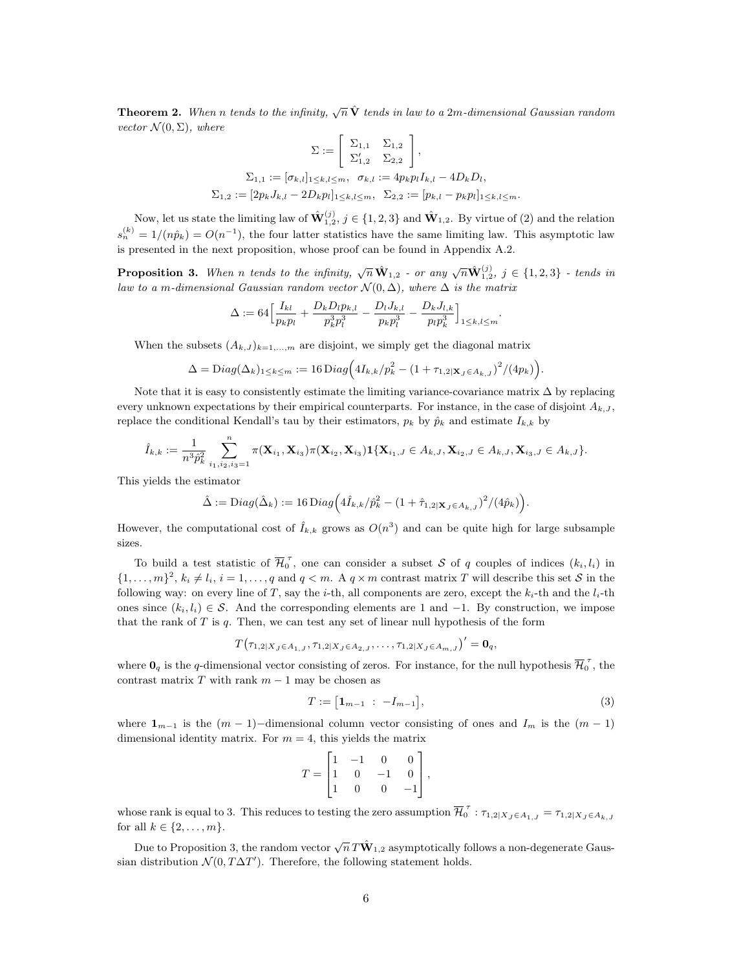<span id="page-5-2"></span>**Theorem 2.** When n tends to the infinity,  $\sqrt{n}\hat{\mathbf{V}}$  tends in law to a 2m-dimensional Gaussian random vector  $\mathcal{N}(0, \Sigma)$ , where

$$
\Sigma := \begin{bmatrix} \Sigma_{1,1} & \Sigma_{1,2} \\ \Sigma'_{1,2} & \Sigma_{2,2} \end{bmatrix},
$$
  
\n
$$
\Sigma_{1,1} := [\sigma_{k,l}]_{1 \le k,l \le m}, \quad \sigma_{k,l} := 4p_k p_l I_{k,l} - 4D_k D_l,
$$
  
\n
$$
\Sigma_{1,2} := [2p_k J_{k,l} - 2D_k p_l]_{1 \le k,l \le m}, \quad \Sigma_{2,2} := [p_{k,l} - p_k p_l]_{1 \le k,l \le m}.
$$

Now, let us state the limiting law of  $\hat{\mathbf{W}}_{1,2}^{(j)}$ ,  $j \in \{1,2,3\}$  and  $\hat{\mathbf{W}}_{1,2}$ . By virtue of [\(2\)](#page-4-0) and the relation  $s_n^{(k)} = 1/(n\hat{p}_k) = O(n^{-1}),$  the four latter statistics have the same limiting law. This asymptotic law is presented in the next proposition, whose proof can be found in Appendix [A.2.](#page-25-0)

<span id="page-5-0"></span>**Proposition 3.** When n tends to the infinity,  $\sqrt{n} \hat{\mathbf{W}}_{1,2}$  - or any  $\sqrt{n} \hat{\mathbf{W}}_{1,2}^{(j)}$ ,  $j \in \{1,2,3\}$  - tends in law to a m-dimensional Gaussian random vector  $\mathcal{N}(0, \Delta)$ , where  $\Delta$  is the matrix

$$
\Delta := 64 \Big[ \frac{I_{kl}}{p_k p_l} + \frac{D_k D_l p_{k,l}}{p_k^3 p_l^3} - \frac{D_l J_{k,l}}{p_k p_l^3} - \frac{D_k J_{l,k}}{p_l p_k^3} \Big]_{1 \le k,l \le m}.
$$

When the subsets  $(A_{k,J})_{k=1,\dots,m}$  are disjoint, we simply get the diagonal matrix

$$
\Delta = \text{Diag}(\Delta_k)_{1 \leq k \leq m} := 16 \text{Diag}\Big(4I_{k,k}/p_k^2 - (1 + \tau_{1,2|\mathbf{X}_J \in A_{k,J}})^2/(4p_k)\Big).
$$

Note that it is easy to consistently estimate the limiting variance-covariance matrix  $\Delta$  by replacing every unknown expectations by their empirical counterparts. For instance, in the case of disjoint  $A_{k,J}$ , replace the conditional Kendall's tau by their estimators,  $p_k$  by  $\hat{p}_k$  and estimate  $I_{k,k}$  by

$$
\hat{I}_{k,k} := \frac{1}{n^3 \hat{p}_k^2} \sum_{i_1, i_2, i_3=1}^n \pi(\mathbf{X}_{i_1}, \mathbf{X}_{i_3}) \pi(\mathbf{X}_{i_2}, \mathbf{X}_{i_3}) \mathbf{1}\{\mathbf{X}_{i_1,J} \in A_{k,J}, \mathbf{X}_{i_2,J} \in A_{k,J}, \mathbf{X}_{i_3,J} \in A_{k,J}\}.
$$

This yields the estimator

$$
\hat{\Delta} := \text{Diag}(\hat{\Delta}_k) := 16 \, \text{Diag}\Big(4\hat{I}_{k,k}/\hat{p}_k^2 - (1 + \hat{\tau}_{1,2|\mathbf{X}_J \in A_{k,J}})^2 / (4\hat{p}_k)\Big).
$$

However, the computational cost of  $\hat{I}_{k,k}$  grows as  $O(n^3)$  and can be quite high for large subsample sizes.

To build a test statistic of  $\overline{\mathcal{H}}_0^{\tau}$ , one can consider a subset S of q couples of indices  $(k_i, l_i)$  in  $\{1,\ldots,m\}^2$ ,  $k_i \neq l_i$ ,  $i = 1,\ldots,q$  and  $q < m$ . A  $q \times m$  contrast matrix T will describe this set S in the following way: on every line of T, say the i-th, all components are zero, except the  $k_i$ -th and the  $l_i$ -th ones since  $(k_i, l_i) \in S$ . And the corresponding elements are 1 and -1. By construction, we impose that the rank of  $T$  is  $q$ . Then, we can test any set of linear null hypothesis of the form

$$
T(\tau_{1,2|X_J \in A_{1,J}}, \tau_{1,2|X_J \in A_{2,J}}, \ldots, \tau_{1,2|X_J \in A_{m,J}})' = \mathbf{0}_q,
$$

where  $0_q$  is the q-dimensional vector consisting of zeros. For instance, for the null hypothesis  $\overline{\mathcal{H}}_0^{\tau}$ , the contrast matrix  $T$  with rank  $m-1$  may be chosen as

<span id="page-5-1"></span>
$$
T := [1_{m-1} : -I_{m-1}], \tag{3}
$$

where  $1_{m-1}$  is the  $(m-1)$ −dimensional column vector consisting of ones and  $I_m$  is the  $(m-1)$ dimensional identity matrix. For  $m = 4$ , this yields the matrix

$$
T = \begin{bmatrix} 1 & -1 & 0 & 0 \\ 1 & 0 & -1 & 0 \\ 1 & 0 & 0 & -1 \end{bmatrix},
$$

whose rank is equal to 3. This reduces to testing the zero assumption  $\overline{\mathcal{H}}_0^{\tau}$  :  $\tau_{1,2|X_J \in A_{1,J}} = \tau_{1,2|X_J \in A_{k,J}}$ for all  $k \in \{2, \ldots, m\}$ .

Due to Proposition [3,](#page-5-0) the random vector  $\sqrt{n}\,T\hat{\mathbf{W}}_{1,2}$  asymptotically follows a non-degenerate Gaussian distribution  $\mathcal{N}(0, T\Delta T')$ . Therefore, the following statement holds.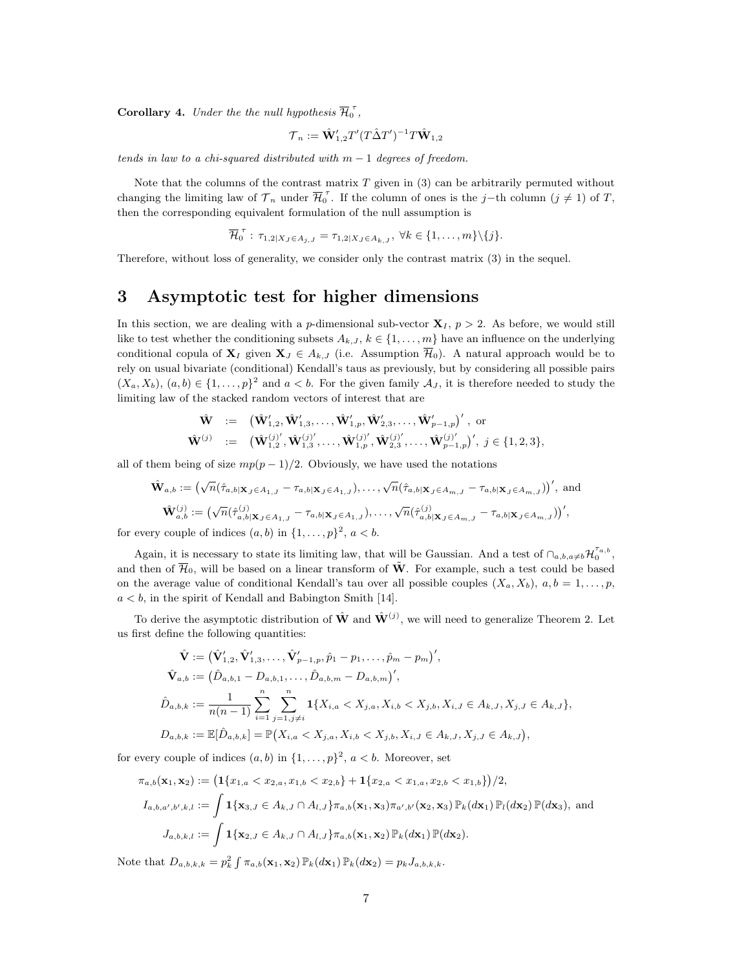<span id="page-6-1"></span>**Corollary 4.** Under the the null hypothesis  $\overline{\mathcal{H}}_0^{\tau}$ ,

$$
\mathcal{T}_n := \hat{\mathbf{W}}_{1,2}' T' (T \hat{\Delta} T')^{-1} T \hat{\mathbf{W}}_{1,2}
$$

tends in law to a chi-squared distributed with  $m-1$  degrees of freedom.

Note that the columns of the contrast matrix  $T$  given in [\(3\)](#page-5-1) can be arbitrarily permuted without changing the limiting law of  $\mathcal{T}_n$  under  $\overline{\mathcal{H}}_0^{\tau}$ . If the column of ones is the j–th column  $(j \neq 1)$  of  $T$ , then the corresponding equivalent formulation of the null assumption is

$$
\overline{\mathcal{H}}_0^{\tau} : \tau_{1,2|X_J \in A_{j,J}} = \tau_{1,2|X_J \in A_{k,J}}, \ \forall k \in \{1,\ldots,m\} \setminus \{j\}.
$$

Therefore, without loss of generality, we consider only the contrast matrix [\(3\)](#page-5-1) in the sequel.

## <span id="page-6-0"></span>3 Asymptotic test for higher dimensions

In this section, we are dealing with a p-dimensional sub-vector  $X_I$ ,  $p > 2$ . As before, we would still like to test whether the conditioning subsets  $A_{k,J}, k \in \{1, \ldots, m\}$  have an influence on the underlying conditional copula of  $\mathbf{X}_I$  given  $\mathbf{X}_J \in A_{k,J}$  (i.e. Assumption  $\overline{\mathcal{H}}_0$ ). A natural approach would be to rely on usual bivariate (conditional) Kendall's taus as previously, but by considering all possible pairs  $(X_a, X_b), (a, b) \in \{1, \ldots, p\}^2$  and  $a < b$ . For the given family  $\mathcal{A}_J$ , it is therefore needed to study the limiting law of the stacked random vectors of interest that are

$$
\begin{array}{ccl}\n\hat{\mathbf{W}} & := & \big( \hat{\mathbf{W}}_{1,2}', \hat{\mathbf{W}}_{1,3}', \ldots, \hat{\mathbf{W}}_{1,p}', \hat{\mathbf{W}}_{2,3}', \ldots, \hat{\mathbf{W}}_{p-1,p}' \big)' \text{, or} \\
\hat{\mathbf{W}}^{(j)} & := & \big( \hat{\mathbf{W}}_{1,2}^{(j)'}, \hat{\mathbf{W}}_{1,3}^{(j)'}, \ldots, \hat{\mathbf{W}}_{1,p}^{(j)'}, \hat{\mathbf{W}}_{2,3}^{(j)'}, \ldots, \hat{\mathbf{W}}_{p-1,p}^{(j)'} \big)' \text{, } j \in \{1,2,3\},\n\end{array}
$$

all of them being of size  $mp(p-1)/2$ . Obviously, we have used the notations

$$
\hat{\mathbf{W}}_{a,b} := \left(\sqrt{n}(\hat{\tau}_{a,b|\mathbf{X}_J \in A_{1,J}} - \tau_{a,b|\mathbf{X}_J \in A_{1,J}}), \dots, \sqrt{n}(\hat{\tau}_{a,b|\mathbf{X}_J \in A_{m,J}} - \tau_{a,b|\mathbf{X}_J \in A_{m,J}})\right)', \text{ and}
$$

$$
\hat{\mathbf{W}}_{a,b}^{(j)} := \left(\sqrt{n}(\hat{\tau}_{a,b|\mathbf{X}_J \in A_{1,J}} - \tau_{a,b|\mathbf{X}_J \in A_{1,J}}), \dots, \sqrt{n}(\hat{\tau}_{a,b|\mathbf{X}_J \in A_{m,J}} - \tau_{a,b|\mathbf{X}_J \in A_{m,J}})\right)',
$$

for every couple of indices  $(a, b)$  in  $\{1, \ldots, p\}^2$ ,  $a < b$ .

Again, it is necessary to state its limiting law, that will be Gaussian. And a test of  $\bigcap_{a,b,a\neq b} \mathcal{H}_0^{\tau_{a,b}}$ , and then of  $\overline{\mathcal{H}}_0$ , will be based on a linear transform of  $\tilde{W}$ . For example, such a test could be based on the average value of conditional Kendall's tau over all possible couples  $(X_a, X_b)$ ,  $a, b = 1, \ldots, p$ ,  $a < b$ , in the spirit of Kendall and Babington Smith [\[14\]](#page-23-8).

To derive the asymptotic distribution of  $\hat{W}$  and  $\hat{W}^{(j)}$ , we will need to generalize Theorem [2.](#page-5-2) Let us first define the following quantities:

$$
\hat{\mathbf{V}} := (\hat{\mathbf{V}}'_{1,2}, \hat{\mathbf{V}}'_{1,3}, \dots, \hat{\mathbf{V}}'_{p-1,p}, \hat{p}_1 - p_1, \dots, \hat{p}_m - p_m)',
$$
\n
$$
\hat{\mathbf{V}}_{a,b} := (\hat{D}_{a,b,1} - D_{a,b,1}, \dots, \hat{D}_{a,b,m} - D_{a,b,m})',
$$
\n
$$
\hat{D}_{a,b,k} := \frac{1}{n(n-1)} \sum_{i=1}^n \sum_{j=1, j \neq i}^n \mathbf{1}\{X_{i,a} < X_{j,a}, X_{i,b} < X_{j,b}, X_{i,J} \in A_{k,J}, X_{j,J} \in A_{k,J}\},
$$
\n
$$
D_{a,b,k} := \mathbb{E}[\hat{D}_{a,b,k}] = \mathbb{P}(X_{i,a} < X_{j,a}, X_{i,b} < X_{j,b}, X_{i,J} \in A_{k,J}, X_{j,J} \in A_{k,J}),
$$

for every couple of indices  $(a, b)$  in  $\{1, \ldots, p\}^2$ ,  $a < b$ . Moreover, set

$$
\pi_{a,b}(\mathbf{x}_1, \mathbf{x}_2) := \left( \mathbf{1}\{x_{1,a} < x_{2,a}, x_{1,b} < x_{2,b}\} + \mathbf{1}\{x_{2,a} < x_{1,a}, x_{2,b} < x_{1,b}\} \right) / 2,
$$
\n
$$
I_{a,b,a',b',k,l} := \int \mathbf{1}\{\mathbf{x}_{3,J} \in A_{k,J} \cap A_{l,J}\} \pi_{a,b}(\mathbf{x}_1, \mathbf{x}_3) \pi_{a',b'}(\mathbf{x}_2, \mathbf{x}_3) \mathbb{P}_k(d\mathbf{x}_1) \mathbb{P}_l(d\mathbf{x}_2) \mathbb{P}(d\mathbf{x}_3), \text{ and}
$$
\n
$$
J_{a,b,k,l} := \int \mathbf{1}\{\mathbf{x}_{2,J} \in A_{k,J} \cap A_{l,J}\} \pi_{a,b}(\mathbf{x}_1, \mathbf{x}_2) \mathbb{P}_k(d\mathbf{x}_1) \mathbb{P}(d\mathbf{x}_2).
$$

Note that  $D_{a,b,k,k} = p_k^2 \int \pi_{a,b}(\mathbf{x}_1, \mathbf{x}_2) \mathbb{P}_k(d\mathbf{x}_1) \mathbb{P}_k(d\mathbf{x}_2) = p_k J_{a,b,k,k}.$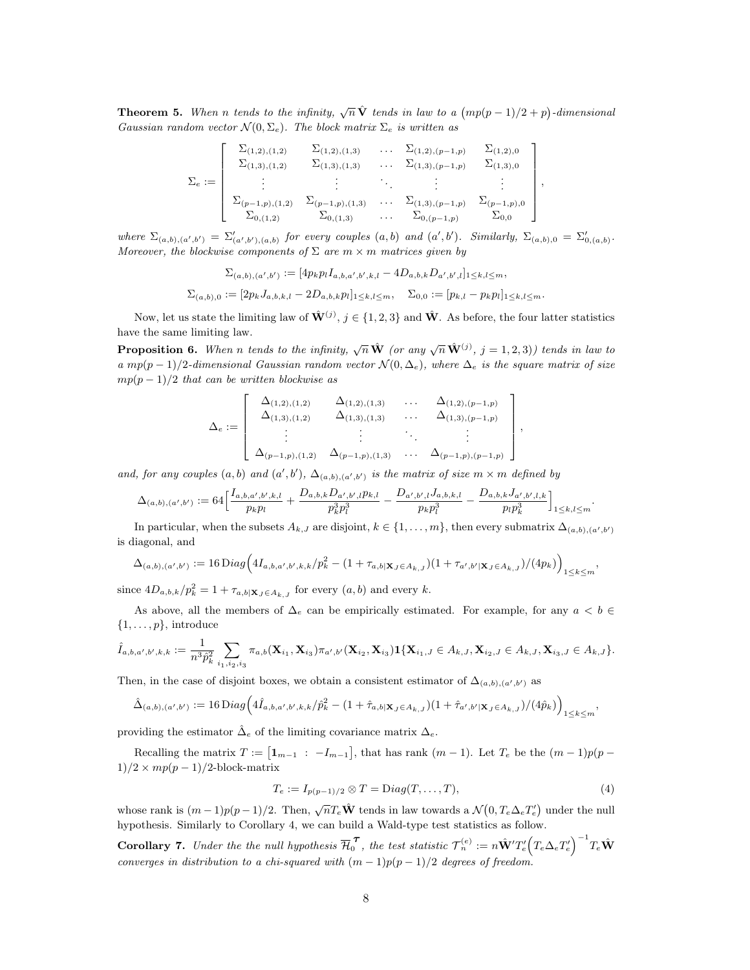<span id="page-7-2"></span>**Theorem 5.** When n tends to the infinity,  $\sqrt{n}\hat{\mathbf{V}}$  tends in law to a  $(mp(p-1)/2+p)$ -dimensional Gaussian random vector  $\mathcal{N}(0, \Sigma_e)$ . The block matrix  $\Sigma_e$  is written as

$$
\Sigma_e := \left[\begin{array}{cccccc} \Sigma_{(1,2),(1,2)} & \Sigma_{(1,2),(1,3)} & \cdots & \Sigma_{(1,2),(p-1,p)} & \Sigma_{(1,2),0} \\ \Sigma_{(1,3),(1,2)} & \Sigma_{(1,3),(1,3)} & \cdots & \Sigma_{(1,3),(p-1,p)} & \Sigma_{(1,3),0} \\ \vdots & \vdots & \ddots & \vdots & \vdots \\ \Sigma_{(p-1,p),(1,2)} & \Sigma_{(p-1,p),(1,3)} & \cdots & \Sigma_{(1,3),(p-1,p)} & \Sigma_{(p-1,p),0} \\ \Sigma_{0,(1,2)} & \Sigma_{0,(1,3)} & \cdots & \Sigma_{0,(p-1,p)} & \Sigma_{0,0} \end{array}\right]
$$

,

,

.

where  $\Sigma_{(a,b),(a',b')} = \Sigma'_{(a',b'),(a,b)}$  for every couples  $(a,b)$  and  $(a',b')$ . Similarly,  $\Sigma_{(a,b),0} = \Sigma'_{(a,a,b)}$ . Moreover, the blockwise components of  $\Sigma$  are  $m \times m$  matrices given by

$$
\Sigma_{(a,b),(a',b')} := [4p_k p_l I_{a,b,a',b',k,l} - 4D_{a,b,k} D_{a',b',l}]_{1 \leq k,l \leq m},
$$
  

$$
\Sigma_{(a,b),0} := [2p_k J_{a,b,k,l} - 2D_{a,b,k} p_l]_{1 \leq k,l \leq m}, \quad \Sigma_{0,0} := [p_{k,l} - p_k p_l]_{1 \leq k,l \leq m}.
$$

Now, let us state the limiting law of  $\hat{\mathbf{W}}^{(j)}$ ,  $j \in \{1, 2, 3\}$  and  $\hat{\mathbf{W}}$ . As before, the four latter statistics have the same limiting law.

<span id="page-7-3"></span>**Proposition 6.** When n tends to the infinity,  $\sqrt{n} \hat{\mathbf{W}}$  (or any  $\sqrt{n} \hat{\mathbf{W}}^{(j)}$ ,  $j = 1, 2, 3$ )) tends in law to a mp(p - 1)/2-dimensional Gaussian random vector  $\mathcal{N}(0, \Delta_e)$ , where  $\Delta_e$  is the square matrix of size  $mp(p-1)/2$  that can be written blockwise as

$$
\Delta_e := \left[ \begin{array}{cccc} \Delta_{(1,2),(1,2)} & \Delta_{(1,2),(1,3)} & \dots & \Delta_{(1,2),(p-1,p)} \\ \Delta_{(1,3),(1,2)} & \Delta_{(1,3),(1,3)} & \dots & \Delta_{(1,3),(p-1,p)} \\ \vdots & \vdots & \ddots & \vdots \\ \Delta_{(p-1,p),(1,2)} & \Delta_{(p-1,p),(1,3)} & \dots & \Delta_{(p-1,p),(p-1,p)} \end{array} \right]
$$

and, for any couples  $(a, b)$  and  $(a', b')$ ,  $\Delta_{(a, b), (a', b')}$  is the matrix of size  $m \times m$  defined by

$$
\Delta_{(a,b),(a',b')} := 64 \Big[ \frac{I_{a,b,a',b',k,l}}{p_k p_l} + \frac{D_{a,b,k} D_{a',b',l} p_{k,l}}{p_k^3 p_l^3} - \frac{D_{a',b',l} J_{a,b,k,l}}{p_k p_l^3} - \frac{D_{a,b,k} J_{a',b',l,k}}{p_l p_k^3} \Big]_{1 \leq k,l \leq m}
$$

In particular, when the subsets  $A_{k,J}$  are disjoint,  $k \in \{1,\ldots,m\}$ , then every submatrix  $\Delta_{(a,b),(a',b')}$ is diagonal, and

$$
\Delta_{(a,b),(a',b')} := 16 \operatorname{Diag} \Big( 4I_{a,b,a',b',k,k} / p_k^2 - (1 + \tau_{a,b|\mathbf{X}_J \in A_{k,J}}) (1 + \tau_{a',b'|\mathbf{X}_J \in A_{k,J}}) / (4p_k) \Big)_{1 \le k \le m},
$$

since  $4D_{a,b,k}/p_k^2 = 1 + \tau_{a,b|\mathbf{X}_J \in A_{k,J}}$  for every  $(a,b)$  and every k.

As above, all the members of  $\Delta_e$  can be empirically estimated. For example, for any  $a < b \in$  $\{1, \ldots, p\}$ , introduce

$$
\hat{I}_{a,b,a',b',k,k} := \frac{1}{n^3 \hat{p}_k^2} \sum_{i_1,i_2,i_3} \pi_{a,b}(\mathbf{X}_{i_1}, \mathbf{X}_{i_3}) \pi_{a',b'}(\mathbf{X}_{i_2}, \mathbf{X}_{i_3}) \mathbf{1}\{\mathbf{X}_{i_1,J} \in A_{k,J}, \mathbf{X}_{i_2,J} \in A_{k,J}, \mathbf{X}_{i_3,J} \in A_{k,J}\}.
$$

Then, in the case of disjoint boxes, we obtain a consistent estimator of  $\Delta_{(a,b),(a',b')}$  as

$$
\hat{\Delta}_{(a,b),(a',b')} := 16 \operatorname{Diag} \Big( 4 \hat{I}_{a,b,a',b',k,k} / \hat{p}_k^2 - (1 + \hat{\tau}_{a,b|X_J \in A_{k,J}}) (1 + \hat{\tau}_{a',b'|X_J \in A_{k,J}}) / (4 \hat{p}_k) \Big)_{1 \le k \le m},
$$

providing the estimator  $\hat{\Delta}_e$  of the limiting covariance matrix  $\Delta_e$ .

Recalling the matrix  $T := [1_{m-1} : -I_{m-1}],$  that has rank  $(m-1)$ . Let  $T_e$  be the  $(m-1)p(p-1)$  $1)/2 \times mp(p-1)/2$ -block-matrix

<span id="page-7-1"></span>
$$
T_e := I_{p(p-1)/2} \otimes T = \text{Diag}(T, \dots, T),\tag{4}
$$

whose rank is  $(m-1)p(p-1)/2$ . Then,  $\sqrt{n}T_e\hat{\mathbf{W}}$  tends in law towards a  $\mathcal{N}(0, T_e\Delta_e T_e')$  under the null hypothesis. Similarly to Corollary [4,](#page-6-1) we can build a Wald-type test statistics as follow.

<span id="page-7-0"></span>**Corollary 7.** Under the the null hypothesis  $\overline{\mathcal{H}}_0^{\mathcal{T}}$ , the test statistic  $\mathcal{T}_n^{(e)} := n\hat{\mathbf{W}}'T_e' (T_e\Delta_e T_e')^{-1} T_e \hat{\mathbf{W}}$ converges in distribution to a chi-squared with  $(m-1)p(p-1)/2$  degrees of freedom.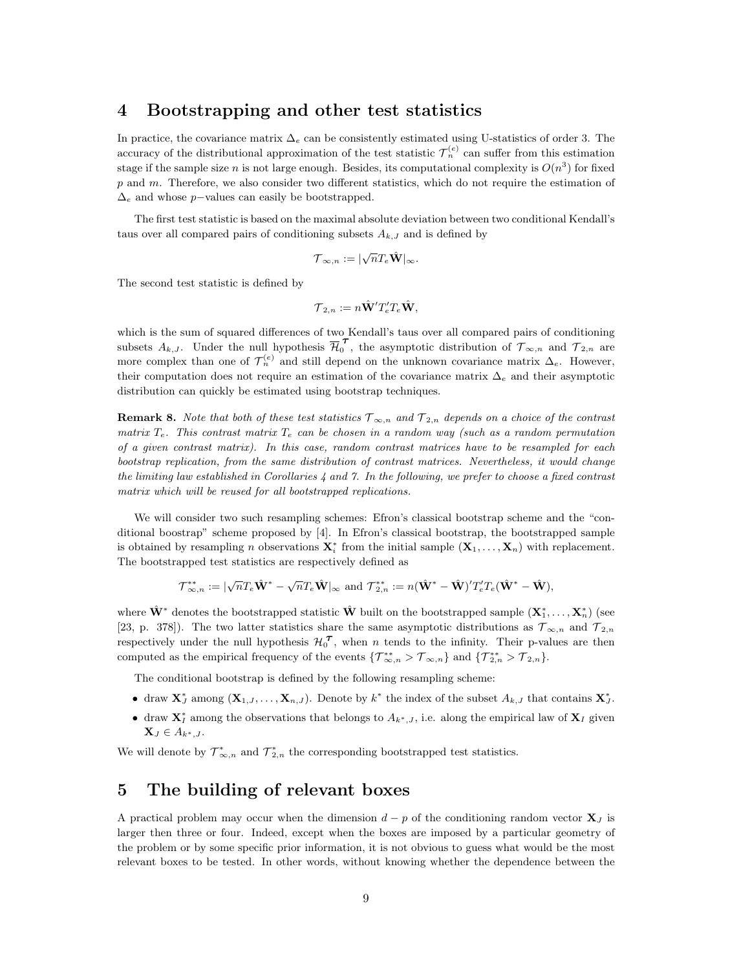## <span id="page-8-0"></span>4 Bootstrapping and other test statistics

In practice, the covariance matrix  $\Delta_e$  can be consistently estimated using U-statistics of order 3. The accuracy of the distributional approximation of the test statistic  $\mathcal{T}_n^{(e)}$  can suffer from this estimation stage if the sample size n is not large enough. Besides, its computational complexity is  $O(n^3)$  for fixed p and m. Therefore, we also consider two different statistics, which do not require the estimation of  $\Delta_e$  and whose p−values can easily be bootstrapped.

The first test statistic is based on the maximal absolute deviation between two conditional Kendall's taus over all compared pairs of conditioning subsets  $A_{k,J}$  and is defined by

$$
\mathcal{T}_{\infty,n} := |\sqrt{n} T_e \hat{\mathbf{W}}|_{\infty}.
$$

The second test statistic is defined by

$$
\mathcal{T}_{2,n} := n \hat{\mathbf{W}}' T_e' T_e \hat{\mathbf{W}},
$$

which is the sum of squared differences of two Kendall's taus over all compared pairs of conditioning subsets  $A_{k,J}$ . Under the null hypothesis  $\overline{H}_0^{\tau}$ , the asymptotic distribution of  $\tau_{\infty,n}$  and  $\tau_{2,n}$  are more complex than one of  $\mathcal{T}_n^{(e)}$  and still depend on the unknown covariance matrix  $\Delta_e$ . However, their computation does not require an estimation of the covariance matrix  $\Delta_e$  and their asymptotic distribution can quickly be estimated using bootstrap techniques.

**Remark 8.** Note that both of these test statistics  $\mathcal{T}_{\infty,n}$  and  $\mathcal{T}_{2,n}$  depends on a choice of the contrast matrix  $T_e$ . This contrast matrix  $T_e$  can be chosen in a random way (such as a random permutation of a given contrast matrix). In this case, random contrast matrices have to be resampled for each bootstrap replication, from the same distribution of contrast matrices. Nevertheless, it would change the limiting law established in Corollaries  $4$  and  $7$ . In the following, we prefer to choose a fixed contrast matrix which will be reused for all bootstrapped replications.

We will consider two such resampling schemes: Efron's classical bootstrap scheme and the "conditional boostrap" scheme proposed by [\[4\]](#page-22-4). In Efron's classical bootstrap, the bootstrapped sample is obtained by resampling n observations  $\mathbf{X}_i^*$  from the initial sample  $(\mathbf{X}_1, \ldots, \mathbf{X}_n)$  with replacement. The bootstrapped test statistics are respectively defined as

$$
\mathcal{T}^{**}_{\infty,n} := |\sqrt{n}T_e\hat{\mathbf{W}}^* - \sqrt{n}T_e\hat{\mathbf{W}}|_{\infty} \text{ and } \mathcal{T}^{**}_{2,n} := n(\hat{\mathbf{W}}^* - \hat{\mathbf{W}})'T_e'T_e(\hat{\mathbf{W}}^* - \hat{\mathbf{W}}),
$$

where  $\hat{\mathbf{W}}^*$  denotes the bootstrapped statistic  $\hat{\mathbf{W}}$  built on the bootstrapped sample  $(\mathbf{X}_1^*, \ldots, \mathbf{X}_n^*)$  (see [\[23,](#page-23-9) p. 378]). The two latter statistics share the same asymptotic distributions as  $\mathcal{T}_{\infty,n}$  and  $\mathcal{T}_{2,n}$ respectively under the null hypothesis  $\mathcal{H}_{0}^{\tau}$ , when n tends to the infinity. Their p-values are then computed as the empirical frequency of the events  $\{\mathcal{T}_{\infty,n}^{**} > \mathcal{T}_{\infty,n}\}\$  and  $\{\mathcal{T}_{2,n}^{**} > \mathcal{T}_{2,n}\}.$ 

The conditional bootstrap is defined by the following resampling scheme:

- draw  $\mathbf{X}_J^*$  among  $(\mathbf{X}_{1,J},\ldots,\mathbf{X}_{n,J})$ . Denote by  $k^*$  the index of the subset  $A_{k,J}$  that contains  $\mathbf{X}_J^*$ .
- draw  $X_I^*$  among the observations that belongs to  $A_{k^*,I}$ , i.e. along the empirical law of  $X_I$  given  $\mathbf{X}_J \in A_{k^*,J}.$

We will denote by  $\mathcal{T}_{\infty,n}^*$  and  $\mathcal{T}_{2,n}^*$  the corresponding bootstrapped test statistics.

## <span id="page-8-1"></span>5 The building of relevant boxes

A practical problem may occur when the dimension  $d - p$  of the conditioning random vector  $\mathbf{X}_J$  is larger then three or four. Indeed, except when the boxes are imposed by a particular geometry of the problem or by some specific prior information, it is not obvious to guess what would be the most relevant boxes to be tested. In other words, without knowing whether the dependence between the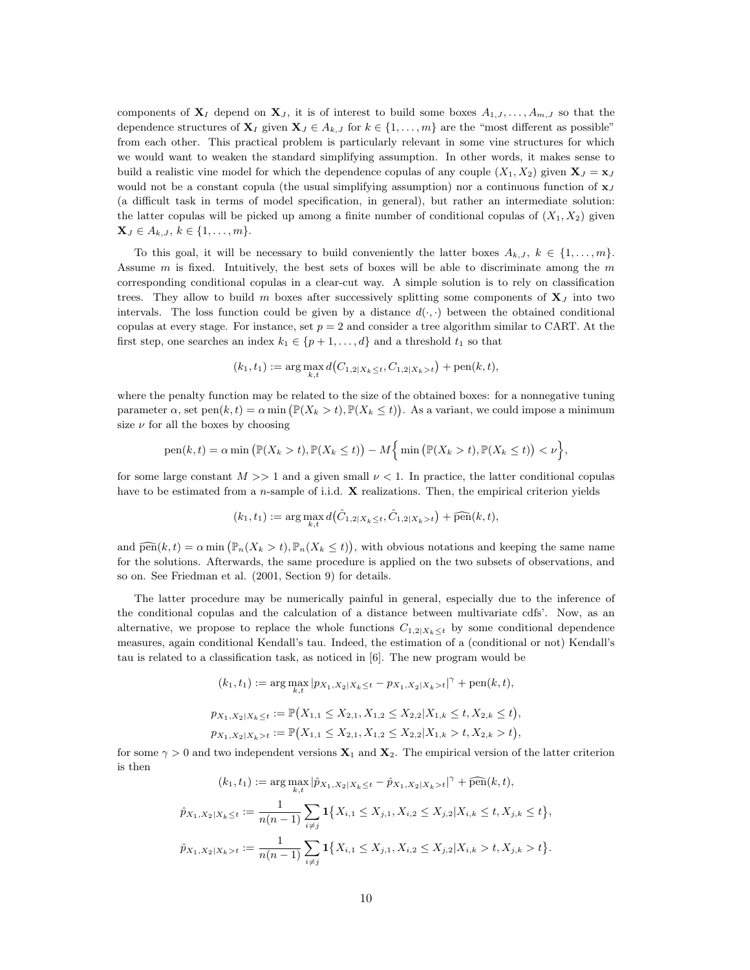components of  $X_I$  depend on  $X_J$ , it is of interest to build some boxes  $A_{1,J},\ldots,A_{m,J}$  so that the dependence structures of  $X_I$  given  $X_J \in A_{k,J}$  for  $k \in \{1, \ldots, m\}$  are the "most different as possible" from each other. This practical problem is particularly relevant in some vine structures for which we would want to weaken the standard simplifying assumption. In other words, it makes sense to build a realistic vine model for which the dependence copulas of any couple  $(X_1, X_2)$  given  $\mathbf{X}_J = \mathbf{x}_J$ would not be a constant copula (the usual simplifying assumption) nor a continuous function of  $x<sub>J</sub>$ (a difficult task in terms of model specification, in general), but rather an intermediate solution: the latter copulas will be picked up among a finite number of conditional copulas of  $(X_1, X_2)$  given  $\mathbf{X}_J \in A_{k,J}, k \in \{1, \ldots, m\}.$ 

To this goal, it will be necessary to build conveniently the latter boxes  $A_{k,J}, k \in \{1, \ldots, m\}$ . Assume  $m$  is fixed. Intuitively, the best sets of boxes will be able to discriminate among the  $m$ corresponding conditional copulas in a clear-cut way. A simple solution is to rely on classification trees. They allow to build m boxes after successively splitting some components of  $X<sub>J</sub>$  into two intervals. The loss function could be given by a distance  $d(\cdot, \cdot)$  between the obtained conditional copulas at every stage. For instance, set  $p = 2$  and consider a tree algorithm similar to CART. At the first step, one searches an index  $k_1 \in \{p+1,\ldots,d\}$  and a threshold  $t_1$  so that

$$
(k_1, t_1) := \arg \max_{k, t} d(C_{1, 2|X_k \le t}, C_{1, 2|X_k > t}) + \text{pen}(k, t),
$$

where the penalty function may be related to the size of the obtained boxes: for a nonnegative tuning parameter  $\alpha$ , set pen $(k, t) = \alpha \min(\mathbb{P}(X_k > t), \mathbb{P}(X_k \leq t)).$  As a variant, we could impose a minimum size  $\nu$  for all the boxes by choosing

pen(k, t) = 
$$
\alpha \min \left( \mathbb{P}(X_k > t), \mathbb{P}(X_k \le t) \right) - M \left\{ \min \left( \mathbb{P}(X_k > t), \mathbb{P}(X_k \le t) \right) < \nu \right\},\
$$

for some large constant  $M >> 1$  and a given small  $\nu < 1$ . In practice, the latter conditional copulas have to be estimated from a n-sample of i.i.d.  $X$  realizations. Then, the empirical criterion yields

$$
(k_1, t_1) := \arg\max_{k, t} d(\hat{C}_{1, 2|X_k \leq t}, \hat{C}_{1, 2|X_k > t}) + \widehat{\text{pen}}(k, t),
$$

and  $\widehat{\text{pen}}(k, t) = \alpha \min\left(\mathbb{P}_n(X_k > t), \mathbb{P}_n(X_k \leq t)\right)$ , with obvious notations and keeping the same name for the solutions. Afterwards, the same procedure is applied on the two subsets of observations, and so on. See Friedman et al. (2001, Section 9) for details.

The latter procedure may be numerically painful in general, especially due to the inference of the conditional copulas and the calculation of a distance between multivariate cdfs'. Now, as an alternative, we propose to replace the whole functions  $C_{1,2|X_k\leq t}$  by some conditional dependence measures, again conditional Kendall's tau. Indeed, the estimation of a (conditional or not) Kendall's tau is related to a classification task, as noticed in [\[6\]](#page-22-6). The new program would be

$$
(k_1, t_1) := \arg \max_{k, t} |p_{X_1, X_2|X_k \le t} - p_{X_1, X_2|X_k > t}|^{\gamma} + \text{pen}(k, t),
$$
  

$$
p_{X_1, X_2|X_k \le t} := \mathbb{P}(X_{1,1} \le X_{2,1}, X_{1,2} \le X_{2,2}|X_{1,k} \le t, X_{2,k} \le t),
$$
  

$$
p_{X_1, X_2|X_k > t} := \mathbb{P}(X_{1,1} \le X_{2,1}, X_{1,2} \le X_{2,2}|X_{1,k} > t, X_{2,k} > t),
$$

for some  $\gamma > 0$  and two independent versions  $\mathbf{X}_1$  and  $\mathbf{X}_2$ . The empirical version of the latter criterion is then

$$
(k_1, t_1) := \arg \max_{k, t} |\hat{p}_{X_1, X_2|X_k \le t} - \hat{p}_{X_1, X_2|X_k > t}|^{\gamma} + \widehat{\text{pen}}(k, t),
$$
  

$$
\hat{p}_{X_1, X_2|X_k \le t} := \frac{1}{n(n-1)} \sum_{i \ne j} \mathbf{1} \{ X_{i,1} \le X_{j,1}, X_{i,2} \le X_{j,2} | X_{i,k} \le t, X_{j,k} \le t \},
$$
  

$$
\hat{p}_{X_1, X_2|X_k > t} := \frac{1}{n(n-1)} \sum_{i \ne j} \mathbf{1} \{ X_{i,1} \le X_{j,1}, X_{i,2} \le X_{j,2} | X_{i,k} > t, X_{j,k} > t \}.
$$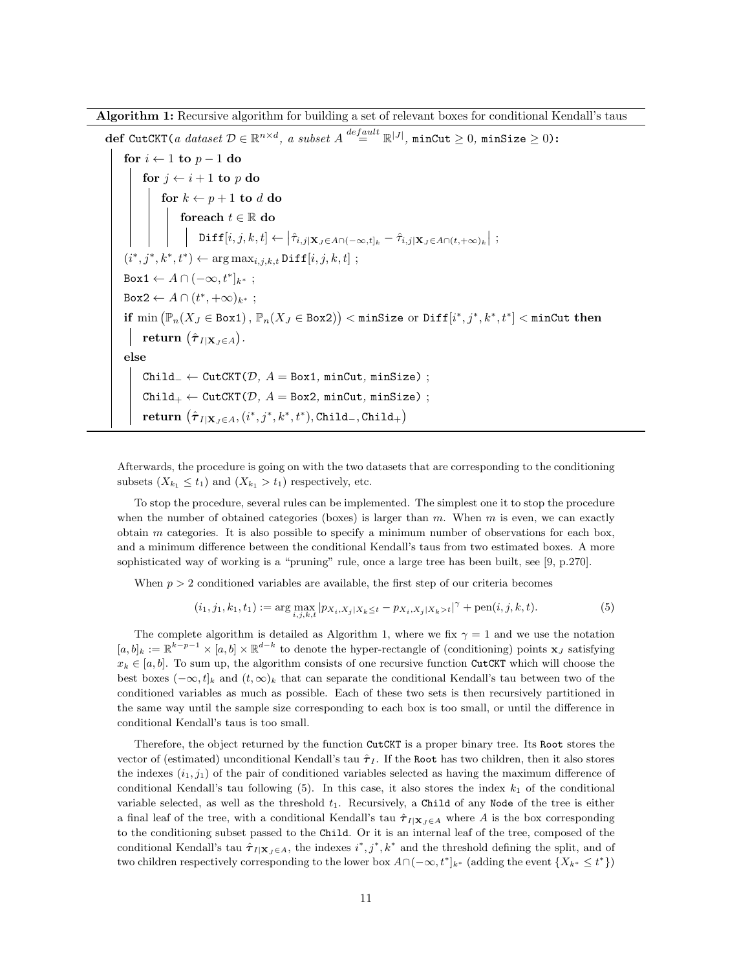Algorithm 1: Recursive algorithm for building a set of relevant boxes for conditional Kendall's taus

 $\texttt{def CutCKT}(\textit{a dataset}~\mathcal{D} \in \mathbb{R}^{n \times d}, \textit{a subset}~A \overset{default}{=}\mathbb{R}^{|J|}, \texttt{minCut} \geq 0, \texttt{minSize} \geq 0)$ : for  $i \leftarrow 1$  to  $p - 1$  do for  $j \leftarrow i + 1$  to p do for  $k \leftarrow p+1$  to  $d$  do foreach  $t \in \mathbb{R}$  do  $\texttt{Diff}[i,j,k,t] \leftarrow \left|\hat{\tau}_{i,j|\mathbf{X}_J \in A \cap (-\infty,t]_k} - \hat{\tau}_{i,j|\mathbf{X}_J \in A \cap (t,+\infty)_k}\right|$  ;  $(i^*, j^*, k^*, t^*) \leftarrow \arg \max_{i,j,k,t} \text{Diff}[i, j, k, t]$ ; Box1  $\leftarrow$  A  $\cap$   $(-\infty, t^*]_{k^*}$ ; Box2  $\leftarrow$  A  $\cap$   $(t^*, +\infty)_{k^*}$ ; if  $\min\big(\mathbb{P}_n(X_J\in \texttt{Box1}),\, \mathbb{P}_n(X_J\in \texttt{Box2})\big)<\texttt{minSize or Diff}[i^*,j^*,k^*,t^*]<\texttt{minCut then}$  $\textbf{return}\ (\hat{\boldsymbol{\tau}}_{I|\mathbf{X}_J\in A}).$ else Child<sub>-</sub> ← CutCKT( $D$ ,  $A =$ Box1, minCut, minSize) ;  $Child_{+} \leftarrow CutCKT(\mathcal{D}, A = Box2, minCut, minSize)$ ;  $\mathbf{return}\ \left(\hat{\boldsymbol{\tau}}_{I|\mathbf{X}_J\in A},(i^*,j^*,k^*,t^*),\texttt{Child}_{-},\texttt{Child}_{+}\right)$ 

Afterwards, the procedure is going on with the two datasets that are corresponding to the conditioning subsets  $(X_{k_1} \leq t_1)$  and  $(X_{k_1} > t_1)$  respectively, etc.

To stop the procedure, several rules can be implemented. The simplest one it to stop the procedure when the number of obtained categories (boxes) is larger than  $m$ . When  $m$  is even, we can exactly obtain  $m$  categories. It is also possible to specify a minimum number of observations for each box, and a minimum difference between the conditional Kendall's taus from two estimated boxes. A more sophisticated way of working is a "pruning" rule, once a large tree has been built, see [\[9,](#page-23-10) p.270].

When  $p > 2$  conditioned variables are available, the first step of our criteria becomes

<span id="page-10-1"></span>
$$
(i_1, j_1, k_1, t_1) := \arg \max_{i, j, k, t} |p_{X_i, X_j | X_k \le t} - p_{X_i, X_j | X_k > t}|^{\gamma} + \text{pen}(i, j, k, t).
$$
 (5)

The complete algorithm is detailed as Algorithm [1,](#page-10-0) where we fix  $\gamma = 1$  and we use the notation  $[a, b]_k := \mathbb{R}^{k-p-1} \times [a, b] \times \mathbb{R}^{d-k}$  to denote the hyper-rectangle of (conditioning) points  $\mathbf{x}_J$  satisfying  $x_k \in [a, b]$ . To sum up, the algorithm consists of one recursive function CutCKT which will choose the best boxes  $(-\infty, t]_k$  and  $(t, \infty)_k$  that can separate the conditional Kendall's tau between two of the conditioned variables as much as possible. Each of these two sets is then recursively partitioned in the same way until the sample size corresponding to each box is too small, or until the difference in conditional Kendall's taus is too small.

<span id="page-10-0"></span>Therefore, the object returned by the function CutCKT is a proper binary tree. Its Root stores the vector of (estimated) unconditional Kendall's tau  $\hat{\tau}_I$ . If the Root has two children, then it also stores the indexes  $(i_1, j_1)$  of the pair of conditioned variables selected as having the maximum difference of conditional Kendall's tau following  $(5)$ . In this case, it also stores the index  $k_1$  of the conditional variable selected, as well as the threshold  $t_1$ . Recursively, a Child of any Node of the tree is either a final leaf of the tree, with a conditional Kendall's tau  $\hat{\tau}_{I|X}, \epsilon_A$  where A is the box corresponding to the conditioning subset passed to the Child. Or it is an internal leaf of the tree, composed of the conditional Kendall's tau  $\hat{\tau}_{I|\mathbf{X}_J \in A}$ , the indexes  $i^*, j^*, k^*$  and the threshold defining the split, and of two children respectively corresponding to the lower box  $A \cap (-\infty, t^*]_{k^*}$  (adding the event  $\{X_{k^*} \leq t^*\}$ )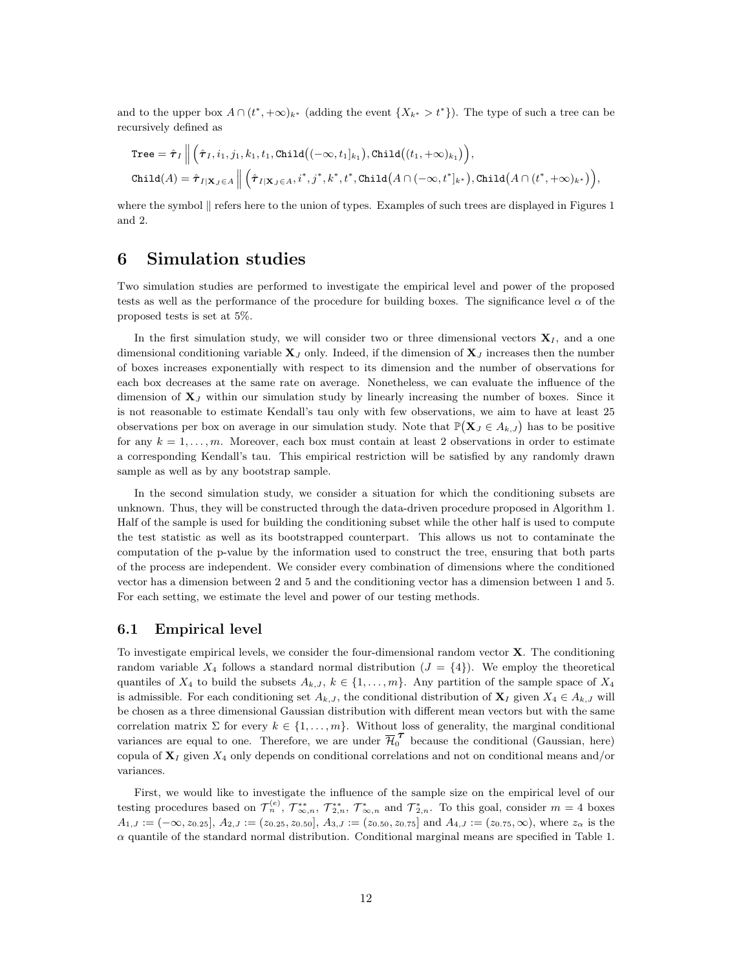and to the upper box  $A \cap (t^*, +\infty)_{k^*}$  (adding the event  $\{X_{k^*} > t^*\}$ ). The type of such a tree can be recursively defined as

$$
\text{Tree} = \hat{\boldsymbol{\tau}}_I \Big\| \Big( \hat{\boldsymbol{\tau}}_I, i_1, j_1, k_1, t_1, \text{Child}\big((-\infty, t_1]_{k_1}\big), \text{Child}\big((t_1, +\infty)_{k_1}\big)\Big),
$$
  
\n
$$
\text{Child}(A) = \hat{\boldsymbol{\tau}}_{I|\mathbf{X}_J \in A} \Big\| \Big( \hat{\boldsymbol{\tau}}_{I|\mathbf{X}_J \in A}, i^*, j^*, k^*, t^*, \text{Child}\big(A \cap (-\infty, t^*]_{k^*}\big), \text{Child}\big(A \cap (t^*, +\infty)_{k^*}\big)\Big),
$$

where the symbol  $\parallel$  refers here to the union of types. Examples of such trees are displayed in Figures [1](#page-17-1) and [2.](#page-19-0)

## <span id="page-11-0"></span>6 Simulation studies

Two simulation studies are performed to investigate the empirical level and power of the proposed tests as well as the performance of the procedure for building boxes. The significance level  $\alpha$  of the proposed tests is set at 5%.

In the first simulation study, we will consider two or three dimensional vectors  $X<sub>I</sub>$ , and a one dimensional conditioning variable  $X_J$  only. Indeed, if the dimension of  $X_J$  increases then the number of boxes increases exponentially with respect to its dimension and the number of observations for each box decreases at the same rate on average. Nonetheless, we can evaluate the influence of the dimension of  $X_J$  within our simulation study by linearly increasing the number of boxes. Since it is not reasonable to estimate Kendall's tau only with few observations, we aim to have at least 25 observations per box on average in our simulation study. Note that  $\mathbb{P}(\mathbf{X}_J \in A_{k,J})$  has to be positive for any  $k = 1, \ldots, m$ . Moreover, each box must contain at least 2 observations in order to estimate a corresponding Kendall's tau. This empirical restriction will be satisfied by any randomly drawn sample as well as by any bootstrap sample.

In the second simulation study, we consider a situation for which the conditioning subsets are unknown. Thus, they will be constructed through the data-driven procedure proposed in Algorithm [1.](#page-10-0) Half of the sample is used for building the conditioning subset while the other half is used to compute the test statistic as well as its bootstrapped counterpart. This allows us not to contaminate the computation of the p-value by the information used to construct the tree, ensuring that both parts of the process are independent. We consider every combination of dimensions where the conditioned vector has a dimension between 2 and 5 and the conditioning vector has a dimension between 1 and 5. For each setting, we estimate the level and power of our testing methods.

#### <span id="page-11-1"></span>6.1 Empirical level

To investigate empirical levels, we consider the four-dimensional random vector  $X$ . The conditioning random variable  $X_4$  follows a standard normal distribution  $(J = \{4\})$ . We employ the theoretical quantiles of  $X_4$  to build the subsets  $A_{k,J}, k \in \{1, \ldots, m\}$ . Any partition of the sample space of  $X_4$ is admissible. For each conditioning set  $A_{k,J}$ , the conditional distribution of  $\mathbf{X}_I$  given  $X_4 \in A_{k,J}$  will be chosen as a three dimensional Gaussian distribution with different mean vectors but with the same correlation matrix  $\Sigma$  for every  $k \in \{1, \ldots, m\}$ . Without loss of generality, the marginal conditional variances are equal to one. Therefore, we are under  $\overline{\mathcal{H}}_0^{\mathcal{T}}$  because the conditional (Gaussian, here) copula of  $X<sub>I</sub>$  given  $X<sub>4</sub>$  only depends on conditional correlations and not on conditional means and/or variances.

First, we would like to investigate the influence of the sample size on the empirical level of our testing procedures based on  $\mathcal{T}_n^{(e)}$ ,  $\mathcal{T}_{\infty,n}^{**}$ ,  $\mathcal{T}_{2,n}^{**}$ ,  $\mathcal{T}_{\infty,n}^{*}$  and  $\mathcal{T}_{2,n}^{*}$ . To this goal, consider  $m=4$  boxes  $A_{1,J} := (-\infty, z_{0.25}]$ ,  $A_{2,J} := (z_{0.25}, z_{0.50}]$ ,  $A_{3,J} := (z_{0.50}, z_{0.75}]$  and  $A_{4,J} := (z_{0.75}, \infty)$ , where  $z_{\alpha}$  is the  $\alpha$  quantile of the standard normal distribution. Conditional marginal means are specified in Table [1.](#page-12-0)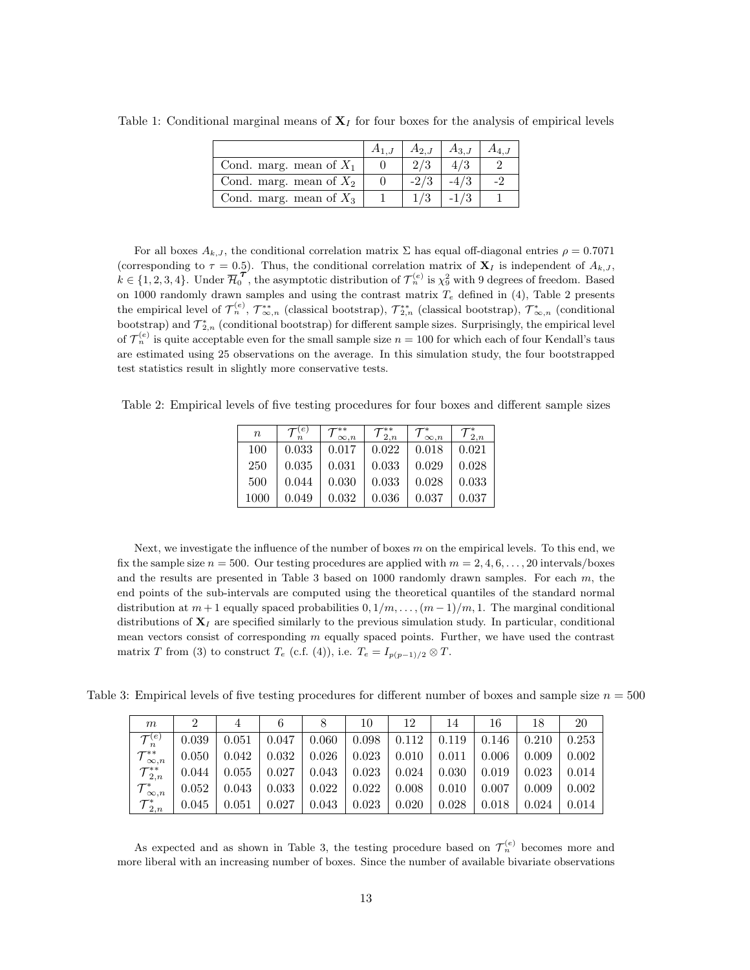|                           | $A_{2I}$ | $A_{3,J}$ |  |
|---------------------------|----------|-----------|--|
| Cond. marg. mean of $X_1$ |          |           |  |
| Cond. marg. mean of $X_2$ | $-2/3$   |           |  |
| Cond. marg. mean of $X_3$ |          |           |  |

<span id="page-12-0"></span>Table 1: Conditional marginal means of  $X_I$  for four boxes for the analysis of empirical levels

For all boxes  $A_{k,J}$ , the conditional correlation matrix  $\Sigma$  has equal off-diagonal entries  $\rho = 0.7071$ (corresponding to  $\tau = 0.5$ ). Thus, the conditional correlation matrix of  $\mathbf{X}_I$  is independent of  $A_{k,J}$ ,  $k \in \{1, 2, 3, 4\}$ . Under  $\overline{\mathcal{H}}_0^{\mathcal{T}}$ , the asymptotic distribution of  $\mathcal{T}_n^{(e)}$  is  $\chi_9^2$  with 9 degrees of freedom. Based on 1000 randomly drawn samples and using the contrast matrix  $T_e$  defined in [\(4\)](#page-7-1), Table [2](#page-12-1) presents the empirical level of  $\mathcal{T}_{n}^{(e)}$ ,  $\mathcal{T}_{\infty,n}^{**}$  (classical bootstrap),  $\mathcal{T}_{2,n}^{*}$  (classical bootstrap),  $\mathcal{T}_{\infty,n}^{*}$  (conditional bootstrap) and  $\mathcal{T}_{2,n}^*$  (conditional bootstrap) for different sample sizes. Surprisingly, the empirical level of  ${\cal T}_n^{(e)}$  is quite acceptable even for the small sample size  $n=100$  for which each of four Kendall's taus are estimated using 25 observations on the average. In this simulation study, the four bootstrapped test statistics result in slightly more conservative tests.

<span id="page-12-1"></span>Table 2: Empirical levels of five testing procedures for four boxes and different sample sizes

| $\boldsymbol{n}$ | e     | $\infty.n$ | ${\cal T}_{2,n}^{**}$ | $\infty, n$ | 2.n   |
|------------------|-------|------------|-----------------------|-------------|-------|
| 100              | 0.033 | 0.017      | 0.022                 | 0.018       | 0.021 |
| 250              | 0.035 | 0.031      | 0.033                 | 0.029       | 0.028 |
| 500              | 0.044 | 0.030      | 0.033                 | 0.028       | 0.033 |
| 1000             | 0.049 | 0.032      | 0.036                 | 0.037       | 0.037 |

Next, we investigate the influence of the number of boxes  $m$  on the empirical levels. To this end, we fix the sample size  $n = 500$ . Our testing procedures are applied with  $m = 2, 4, 6, \ldots, 20$  intervals/boxes and the results are presented in Table [3](#page-12-2) based on  $1000$  randomly drawn samples. For each  $m$ , the end points of the sub-intervals are computed using the theoretical quantiles of the standard normal distribution at  $m+1$  equally spaced probabilities  $0, 1/m, \ldots, (m-1)/m, 1$ . The marginal conditional distributions of  $X_I$  are specified similarly to the previous simulation study. In particular, conditional mean vectors consist of corresponding  $m$  equally spaced points. Further, we have used the contrast matrix T from [\(3\)](#page-5-1) to construct  $T_e$  (c.f. [\(4\)](#page-7-1)), i.e.  $T_e = I_{p(p-1)/2} \otimes T$ .

Table 3: Empirical levels of five testing procedures for different number of boxes and sample size  $n = 500$ 

<span id="page-12-2"></span>

| m                          | 2     |             | 6     |       | 10    | 12    | 14    | 16    | 18    | 20    |
|----------------------------|-------|-------------|-------|-------|-------|-------|-------|-------|-------|-------|
| ${\cal T}_n^{(e)}$         | 0.039 | 0.051       | 0.047 | 0.060 | 0.098 | 0.112 | 0.119 | 0.146 | 0.210 | 0.253 |
| ${\cal T}_{\infty,n}^{**}$ | 0.050 | 0.042       | 0.032 | 0.026 | 0.023 | 0.010 | 0.011 | 0.006 | 0.009 | 0.002 |
| ${\cal T}_{2,n}^{**}$      | 0.044 | 0.055       | 0.027 | 0.043 | 0.023 | 0.024 | 0.030 | 0.019 | 0.023 | 0.014 |
| ${\cal T}^\ast_{\infty,n}$ | 0.052 | 0.043       | 0.033 | 0.022 | 0.022 | 0.008 | 0.010 | 0.007 | 0.009 | 0.002 |
| ${\cal T}_{2,n}^*$         | 0.045 | $\rm 0.051$ | 0.027 | 0.043 | 0.023 | 0.020 | 0.028 | 0.018 | 0.024 | 0.014 |

As expected and as shown in Table [3,](#page-12-2) the testing procedure based on  $\mathcal{T}_n^{(e)}$  becomes more and more liberal with an increasing number of boxes. Since the number of available bivariate observations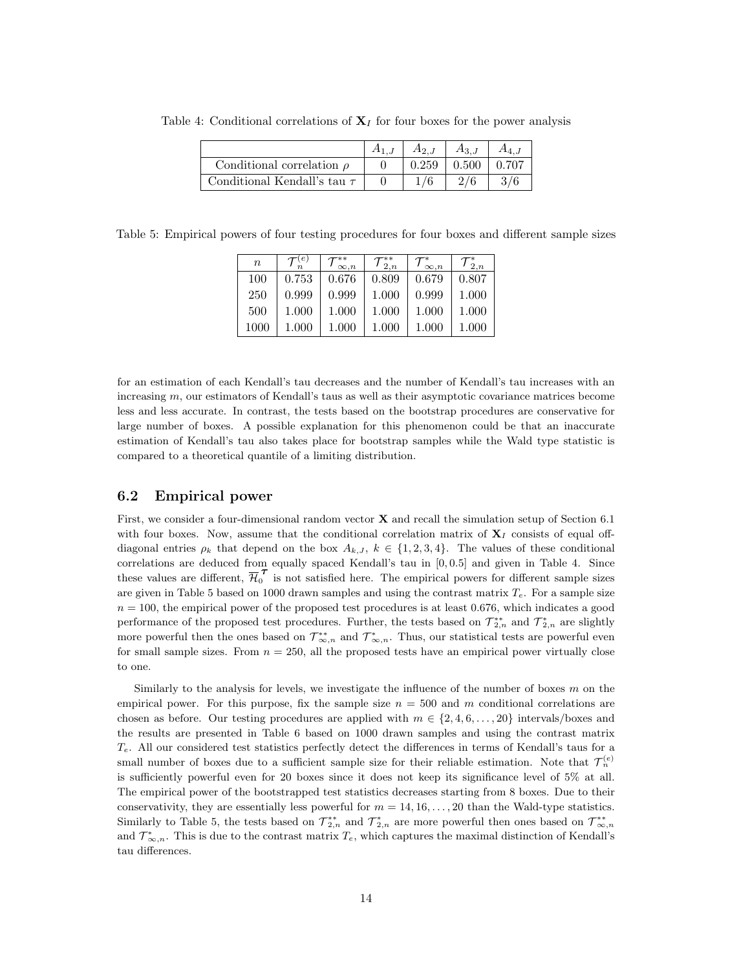<span id="page-13-0"></span>

|                                  | $A_{2,J}$ | $A_{3,j}$ |       |
|----------------------------------|-----------|-----------|-------|
| Conditional correlation $\rho$   | 0.259     | 0.500     | 0.707 |
| Conditional Kendall's tau $\tau$ |           |           |       |

Table 4: Conditional correlations of  $X_I$  for four boxes for the power analysis

<span id="page-13-1"></span>Table 5: Empirical powers of four testing procedures for four boxes and different sample sizes

| $\boldsymbol{n}$ |       | $\infty$ , $n$ | $\frac{1}{2}$ | $\infty, n$ | 2, n  |
|------------------|-------|----------------|---------------|-------------|-------|
| 100              | 0.753 | 0.676          | 0.809         | 0.679       | 0.807 |
| 250              | 0.999 | 0.999          | 1.000         | 0.999       | 1.000 |
| 500              | 1.000 | 1.000          | 1.000         | 1.000       | 1.000 |
| 1000             | 1.000 | 1.000          | 1.000         | 1.000       | 1.000 |

for an estimation of each Kendall's tau decreases and the number of Kendall's tau increases with an increasing m, our estimators of Kendall's taus as well as their asymptotic covariance matrices become less and less accurate. In contrast, the tests based on the bootstrap procedures are conservative for large number of boxes. A possible explanation for this phenomenon could be that an inaccurate estimation of Kendall's tau also takes place for bootstrap samples while the Wald type statistic is compared to a theoretical quantile of a limiting distribution.

#### 6.2 Empirical power

First, we consider a four-dimensional random vector  $X$  and recall the simulation setup of Section [6.1](#page-11-1) with four boxes. Now, assume that the conditional correlation matrix of  $X<sub>I</sub>$  consists of equal offdiagonal entries  $\rho_k$  that depend on the box  $A_{k,J}$ ,  $k \in \{1,2,3,4\}$ . The values of these conditional correlations are deduced from equally spaced Kendall's tau in [0, 0.5] and given in Table [4.](#page-13-0) Since these values are different,  $\overline{\mathcal{H}}_0^{\mathcal{T}}$  is not satisfied here. The empirical powers for different sample sizes are given in Table [5](#page-13-1) based on 1000 drawn samples and using the contrast matrix  $T_e$ . For a sample size  $n = 100$ , the empirical power of the proposed test procedures is at least 0.676, which indicates a good performance of the proposed test procedures. Further, the tests based on  $\mathcal{T}_{2,n}^{**}$  and  $\mathcal{T}_{2,n}^{*}$  are slightly more powerful then the ones based on  $\mathcal{T}_{\infty,n}^*$  and  $\mathcal{T}_{\infty,n}^*$ . Thus, our statistical tests are powerful even for small sample sizes. From  $n = 250$ , all the proposed tests have an empirical power virtually close to one.

Similarly to the analysis for levels, we investigate the influence of the number of boxes  $m$  on the empirical power. For this purpose, fix the sample size  $n = 500$  and m conditional correlations are chosen as before. Our testing procedures are applied with  $m \in \{2, 4, 6, \ldots, 20\}$  intervals/boxes and the results are presented in Table [6](#page-14-0) based on 1000 drawn samples and using the contrast matrix  $T_e$ . All our considered test statistics perfectly detect the differences in terms of Kendall's taus for a small number of boxes due to a sufficient sample size for their reliable estimation. Note that  $\mathcal{T}_n^{(e)}$ is sufficiently powerful even for 20 boxes since it does not keep its significance level of 5% at all. The empirical power of the bootstrapped test statistics decreases starting from 8 boxes. Due to their conservativity, they are essentially less powerful for  $m = 14, 16, \ldots, 20$  than the Wald-type statistics. Similarly to Table [5,](#page-13-1) the tests based on  $\mathcal{T}_{2,n}^{*}$  and  $\mathcal{T}_{2,n}^{*}$  are more powerful then ones based on  $\mathcal{T}_{\infty,n}^{**}$ and  $\mathcal{T}_{\infty,n}^*$ . This is due to the contrast matrix  $T_e$ , which captures the maximal distinction of Kendall's tau differences.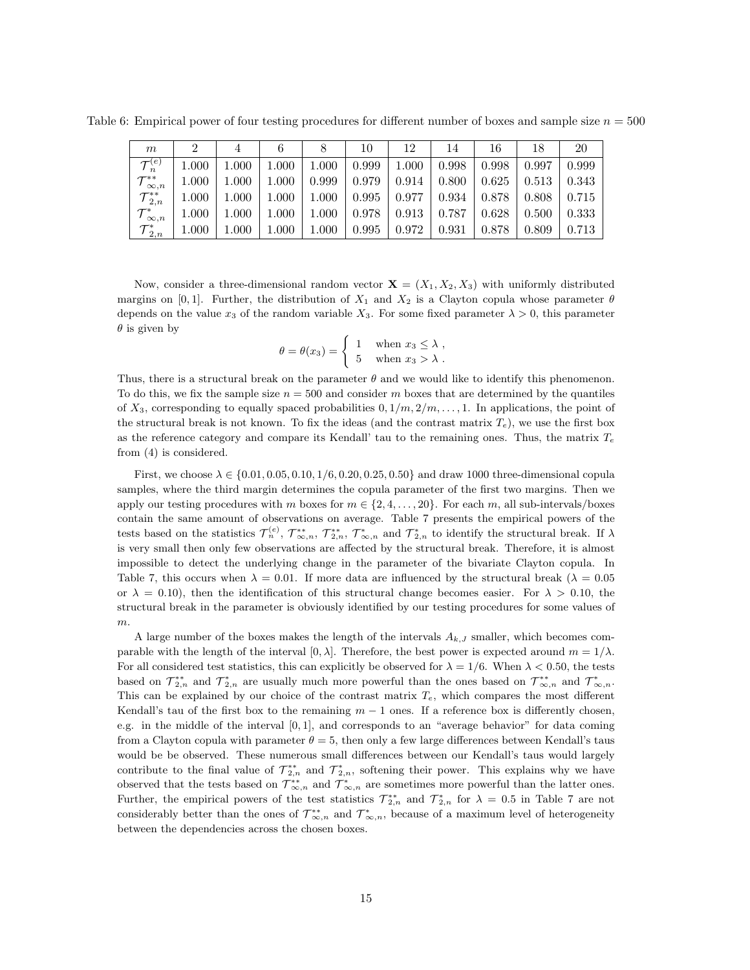Table 6: Empirical power of four testing procedures for different number of boxes and sample size  $n = 500$ 

<span id="page-14-0"></span>

| m                          | 2         |           |           |       | 10    | 12    | 14    | 16    | 18    | 20    |
|----------------------------|-----------|-----------|-----------|-------|-------|-------|-------|-------|-------|-------|
| $\mathcal{T}^{(e)}$        | 1.000     | 1.000     | $1.000\,$ | 1.000 | 0.999 | 1.000 | 0.998 | 0.998 | 0.997 | 0.999 |
| ${\cal T}_{\infty,n}^{**}$ | 1.000     | $1.000\,$ | $1.000\,$ | 0.999 | 0.979 | 0.914 | 0.800 | 0.625 | 0.513 | 0.343 |
| ${\cal T}_{2,n}^{**}$      | $1.000\,$ | $1.000\,$ | $1.000\,$ | 1.000 | 0.995 | 0.977 | 0.934 | 0.878 | 0.808 | 0.715 |
| ${\cal T}^*_{\infty,n}$    | $1.000\,$ | $1.000\,$ | 000       | 1.000 | 0.978 | 0.913 | 0.787 | 0.628 | 0.500 | 0.333 |
| ${\cal T}_{2,n}^*$         | 1.000     | 1.000     | $1.000\,$ | 1.000 | 0.995 | 0.972 | 0.931 | 0.878 | 0.809 | 0.713 |

Now, consider a three-dimensional random vector  $\mathbf{X} = (X_1, X_2, X_3)$  with uniformly distributed margins on [0,1]. Further, the distribution of  $X_1$  and  $X_2$  is a Clayton copula whose parameter  $\theta$ depends on the value  $x_3$  of the random variable  $X_3$ . For some fixed parameter  $\lambda > 0$ , this parameter  $\theta$  is given by

$$
\theta = \theta(x_3) = \begin{cases} 1 & \text{when } x_3 \leq \lambda ,\\ 5 & \text{when } x_3 > \lambda . \end{cases}
$$

Thus, there is a structural break on the parameter  $\theta$  and we would like to identify this phenomenon. To do this, we fix the sample size  $n = 500$  and consider m boxes that are determined by the quantiles of  $X_3$ , corresponding to equally spaced probabilities  $0, 1/m, 2/m, \ldots, 1$ . In applications, the point of the structural break is not known. To fix the ideas (and the contrast matrix  $T_e$ ), we use the first box as the reference category and compare its Kendall' tau to the remaining ones. Thus, the matrix  $T_e$ from [\(4\)](#page-7-1) is considered.

First, we choose  $\lambda \in \{0.01, 0.05, 0.10, 1/6, 0.20, 0.25, 0.50\}$  and draw 1000 three-dimensional copula samples, where the third margin determines the copula parameter of the first two margins. Then we apply our testing procedures with m boxes for  $m \in \{2, 4, \ldots, 20\}$ . For each m, all sub-intervals/boxes contain the same amount of observations on average. Table [7](#page-15-0) presents the empirical powers of the tests based on the statistics  $\mathcal{T}_n^{(e)}$ ,  $\mathcal{T}_{\infty,n}^{**}$ ,  $\mathcal{T}_{2,n}^{*}$ ,  $\mathcal{T}_{\infty,n}^{*}$  and  $\mathcal{T}_{2,n}^{*}$  to identify the structural break. If  $\lambda$ is very small then only few observations are affected by the structural break. Therefore, it is almost impossible to detect the underlying change in the parameter of the bivariate Clayton copula. In Table [7,](#page-15-0) this occurs when  $\lambda = 0.01$ . If more data are influenced by the structural break  $(\lambda = 0.05$ or  $\lambda = 0.10$ , then the identification of this structural change becomes easier. For  $\lambda > 0.10$ , the structural break in the parameter is obviously identified by our testing procedures for some values of m.

A large number of the boxes makes the length of the intervals  $A_{k,J}$  smaller, which becomes comparable with the length of the interval  $[0, \lambda]$ . Therefore, the best power is expected around  $m = 1/\lambda$ . For all considered test statistics, this can explicitly be observed for  $\lambda = 1/6$ . When  $\lambda < 0.50$ , the tests based on  $\mathcal{T}_{2,n}^{**}$  and  $\mathcal{T}_{2,n}^*$  are usually much more powerful than the ones based on  $\mathcal{T}_{\infty,n}^{**}$  and  $\mathcal{T}_{\infty,n}^*$ . This can be explained by our choice of the contrast matrix  $T_e$ , which compares the most different Kendall's tau of the first box to the remaining  $m-1$  ones. If a reference box is differently chosen, e.g. in the middle of the interval [0, 1], and corresponds to an "average behavior" for data coming from a Clayton copula with parameter  $\theta = 5$ , then only a few large differences between Kendall's taus would be be observed. These numerous small differences between our Kendall's taus would largely contribute to the final value of  $\mathcal{T}_{2,n}^{**}$  and  $\mathcal{T}_{2,n}^*$ , softening their power. This explains why we have observed that the tests based on  $\mathcal{T}_{\infty,n}^*$  and  $\mathcal{T}_{\infty,n}^*$  are sometimes more powerful than the latter ones. Further, the empirical powers of the test statistics  $\mathcal{T}_{2,n}^{*}$  and  $\mathcal{T}_{2,n}^{*}$  for  $\lambda = 0.5$  in Table [7](#page-15-0) are not considerably better than the ones of  $\mathcal{T}_{\infty,n}^{*}$  and  $\mathcal{T}_{\infty,n}^{*}$ , because of a maximum level of heterogeneity between the dependencies across the chosen boxes.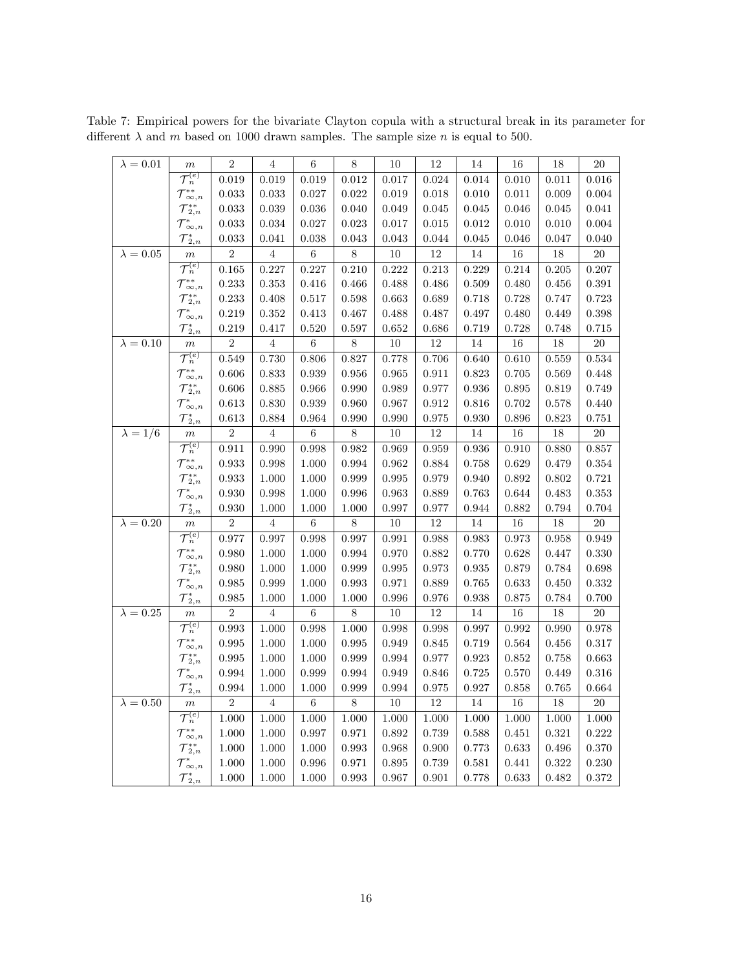| $\lambda = 0.01$ | $\,m$                             | $\boldsymbol{2}$ | $\overline{4}$ | 6              | 8              | 10        | 12          | 14          | 16          | 18     | $20\,$          |
|------------------|-----------------------------------|------------------|----------------|----------------|----------------|-----------|-------------|-------------|-------------|--------|-----------------|
|                  | $\overline{\mathcal{T}_n^{(e)}}$  | 0.019            | 0.019          | 0.019          | $\,0.012\,$    | 0.017     | $\,0.024\,$ | 0.014       | 0.010       | 0.011  | $0.016\,$       |
|                  | ${\cal T}_{\infty,n}^{**}$        | 0.033            | 0.033          | 0.027          | 0.022          | 0.019     | 0.018       | 0.010       | 0.011       | 0.009  | 0.004           |
|                  | ${\mathcal T}_{2,n}^{**}$         | 0.033            | 0.039          | 0.036          | 0.040          | 0.049     | 0.045       | 0.045       | 0.046       | 0.045  | 0.041           |
|                  | ${\cal T}^*_{\infty,n}$           | 0.033            | 0.034          | 0.027          | 0.023          | 0.017     | 0.015       | 0.012       | 0.010       | 0.010  | 0.004           |
|                  | ${\cal T}_{2,n}^*$                | $\,0.033\,$      | 0.041          | 0.038          | 0.043          | 0.043     | 0.044       | 0.045       | 0.046       | 0.047  | 0.040           |
| $\lambda = 0.05$ | $\overline{m}$                    | $\overline{2}$   | $\,4\,$        | $\overline{6}$ | $\overline{8}$ | $10\,$    | $12\,$      | $14\,$      | $16\,$      | 18     | $20\,$          |
|                  | ${\mathcal T}_n^{(e)}$            | $\,0.165\,$      | 0.227          | 0.227          | 0.210          | $0.222\,$ | $\rm 0.213$ | 0.229       | $\rm 0.214$ | 0.205  | 0.207           |
|                  | ${\mathcal T}_{\infty,n}^{**}$    | 0.233            | 0.353          | 0.416          | 0.466          | 0.488     | 0.486       | 0.509       | 0.480       | 0.456  | 0.391           |
|                  | ${\cal T}_{2,n}^{**}$             | 0.233            | 0.408          | 0.517          | 0.598          | 0.663     | 0.689       | 0.718       | 0.728       | 0.747  | 0.723           |
|                  | $\mathcal{T}_{\infty,n}^*$        | 0.219            | 0.352          | 0.413          | 0.467          | 0.488     | 0.487       | 0.497       | 0.480       | 0.449  | 0.398           |
|                  | ${\cal T}_{2,n}^*$                | 0.219            | 0.417          | 0.520          | 0.597          | 0.652     | 0.686       | 0.719       | 0.728       | 0.748  | 0.715           |
| $\lambda = 0.10$ | $\boldsymbol{m}$                  | $\overline{2}$   | $\,4\,$        | $\overline{6}$ | $\overline{8}$ | $10\,$    | $12\,$      | $14\,$      | $16\,$      | $18\,$ | $\overline{20}$ |
|                  | $\overline{{\mathcal T}^{(e)}_n}$ | 0.549            | 0.730          | 0.806          | 0.827          | 0.778     | 0.706       | 0.640       | 0.610       | 0.559  | $\,0.534\,$     |
|                  | $\mathcal{T}_{\infty,n}^{**}$     | 0.606            | $\,0.833\,$    | 0.939          | 0.956          | 0.965     | 0.911       | $\,0.823\,$ | 0.705       | 0.569  | 0.448           |
|                  | ${\cal T}_{2,n}^{**}$             | 0.606            | 0.885          | 0.966          | 0.990          | 0.989     | 0.977       | 0.936       | 0.895       | 0.819  | 0.749           |
|                  | $\mathcal{T}_{\infty,n}^*$        | 0.613            | 0.830          | 0.939          | 0.960          | 0.967     | 0.912       | 0.816       | 0.702       | 0.578  | 0.440           |
|                  | ${\cal T}_{2,n}^*$                | 0.613            | 0.884          | 0.964          | 0.990          | 0.990     | 0.975       | 0.930       | 0.896       | 0.823  | 0.751           |
| $\lambda = 1/6$  | $\,m$                             | $\sqrt{2}$       | $\overline{4}$ | $\,6\,$        | $8\,$          | $10\,$    | $12\,$      | $14\,$      | $16\,$      | 18     | $20\,$          |
|                  | $\mathcal{T}_n^{(e)}$             | 0.911            | 0.990          | 0.998          | $\,0.982\,$    | 0.969     | 0.959       | 0.936       | 0.910       | 0.880  | 0.857           |
|                  | ${\mathcal T}_{\infty,n}^{**}$    | 0.933            | 0.998          | 1.000          | 0.994          | 0.962     | 0.884       | 0.758       | 0.629       | 0.479  | $0.354\,$       |
|                  | ${\cal T}_{2,n}^{**}$             | 0.933            | 1.000          | 1.000          | 0.999          | 0.995     | 0.979       | 0.940       | 0.892       | 0.802  | 0.721           |
|                  | ${\cal T}^*_{\infty,n}$           | 0.930            | 0.998          | 1.000          | 0.996          | 0.963     | 0.889       | 0.763       | 0.644       | 0.483  | $\rm 0.353$     |
|                  | ${\cal T}_{2,n}^*$                | 0.930            | 1.000          | 1.000          | 1.000          | 0.997     | 0.977       | 0.944       | 0.882       | 0.794  | 0.704           |
| $\lambda = 0.20$ | $\boldsymbol{m}$                  | $\,2$            | $\overline{4}$ | $\,6$          | $8\,$          | $10\,$    | $12\,$      | $14\,$      | $16\,$      | $18\,$ | $20\,$          |
|                  | $\overline{\mathcal{T}}_n^{(e)}$  | 0.977            | 0.997          | 0.998          | 0.997          | 0.991     | 0.988       | 0.983       | 0.973       | 0.958  | 0.949           |
|                  | ${\cal T}_{\infty,n}^{**}$        | 0.980            | 1.000          | 1.000          | 0.994          | 0.970     | 0.882       | 0.770       | 0.628       | 0.447  | 0.330           |
|                  | ${\cal T}_{2,n}^{**}$             | 0.980            | 1.000          | 1.000          | 0.999          | 0.995     | 0.973       | 0.935       | 0.879       | 0.784  | 0.698           |
|                  | ${\cal T}^*_{\infty,n}$           | 0.985            | 0.999          | 1.000          | 0.993          | 0.971     | 0.889       | 0.765       | 0.633       | 0.450  | 0.332           |
|                  | ${\cal T}_{2,n}^*$                | 0.985            | 1.000          | 1.000          | 1.000          | 0.996     | 0.976       | 0.938       | 0.875       | 0.784  | 0.700           |
| $\lambda = 0.25$ | $\boldsymbol{m}$                  | $\overline{2}$   | $\,4\,$        | $\,6$          | $8\,$          | $10\,$    | $12\,$      | $14\,$      | $16\,$      | 18     | $20\,$          |
|                  | $\overline{\mathcal{T}_n^{(e)}}$  | 0.993            | 1.000          | 0.998          | 1.000          | 0.998     | 0.998       | 0.997       | 0.992       | 0.990  | 0.978           |
|                  | ${\mathcal T}_{\infty,n}^{**}$    | 0.995            | 1.000          | 1.000          | 0.995          | 0.949     | 0.845       | 0.719       | 0.564       | 0.456  | 0.317           |
|                  | ${\cal T}_{2,n}^{**}$             | 0.995            | 1.000          | 1.000          | 0.999          | 0.994     | 0.977       | 0.923       | 0.852       | 0.758  | 0.663           |
|                  | ${\cal T}^*_{\infty,n}$           | 0.994            | 1.000          | 0.999          | 0.994          | 0.949     | 0.846       | 0.725       | 0.570       | 0.449  | $0.316\,$       |
|                  | ${\cal T}_{2,n}^*$                | $\,0.994\,$      | 1.000          | 1.000          | 0.999          | 0.994     | 0.975       | 0.927       | 0.858       | 0.765  | $\,0.664\,$     |
| $\lambda=0.50$   | $\,m$                             | $\,2$            | $\,4\,$        | $\,6\,$        | $8\,$          | $10\,$    | $12\,$      | $14\,$      | $16\,$      | 18     | $20\,$          |
|                  | ${\cal T}_n^{(e)}$                | 1.000            | 1.000          | 1.000          | 1.000          | 1.000     | 1.000       | 1.000       | 1.000       | 1.000  | 1.000           |
|                  | ${\mathcal T}_{\infty,n}^{**}$    | 1.000            | 1.000          | 0.997          | 0.971          | 0.892     | 0.739       | 0.588       | 0.451       | 0.321  | 0.222           |
|                  | ${\cal T}_{2,n}^{**}$             | 1.000            | 1.000          | 1.000          | 0.993          | 0.968     | 0.900       | 0.773       | 0.633       | 0.496  | 0.370           |
|                  | ${\cal T}^*_{\infty,n}$           | 1.000            | 1.000          | 0.996          | 0.971          | 0.895     | 0.739       | 0.581       | 0.441       | 0.322  | $0.230\,$       |
|                  | ${\cal T}_{2,n}^*$                | 1.000            | 1.000          | 1.000          | 0.993          | 0.967     | 0.901       | 0.778       | 0.633       | 0.482  | 0.372           |

<span id="page-15-0"></span>Table 7: Empirical powers for the bivariate Clayton copula with a structural break in its parameter for different  $\lambda$  and  $m$  based on 1000 drawn samples. The sample size  $n$  is equal to 500.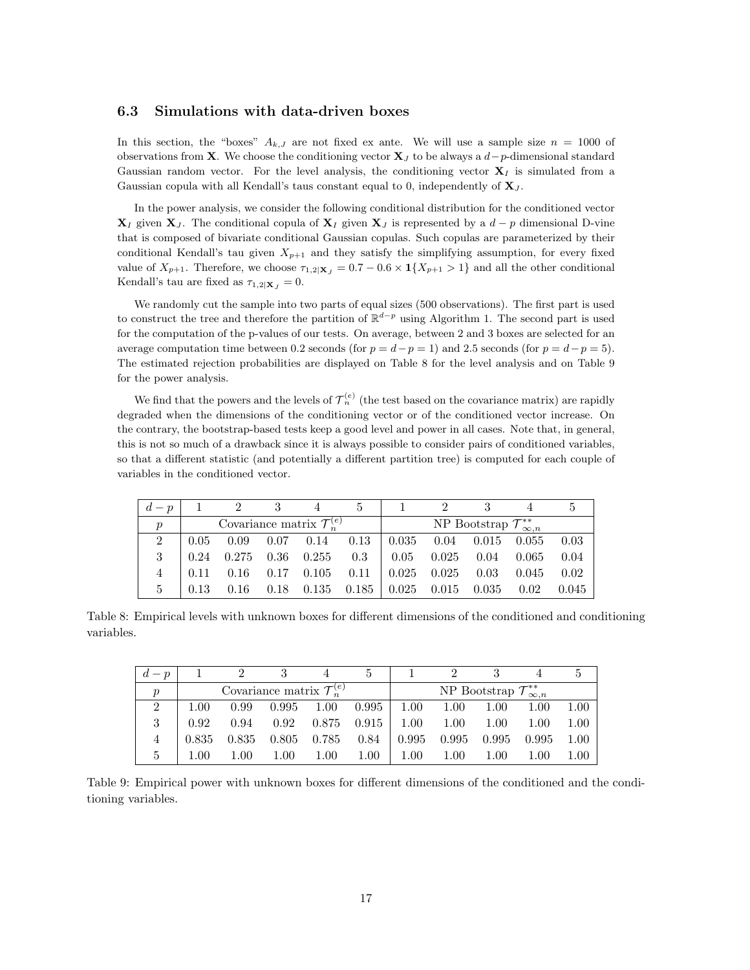#### 6.3 Simulations with data-driven boxes

In this section, the "boxes"  $A_{k,J}$  are not fixed ex ante. We will use a sample size  $n = 1000$  of observations from X. We choose the conditioning vector  $X_J$  to be always a  $d-p$ -dimensional standard Gaussian random vector. For the level analysis, the conditioning vector  $X_I$  is simulated from a Gaussian copula with all Kendall's taus constant equal to 0, independently of  $\mathbf{X}_J$ .

In the power analysis, we consider the following conditional distribution for the conditioned vector  $X_I$  given  $X_J$ . The conditional copula of  $X_I$  given  $X_J$  is represented by a  $d-p$  dimensional D-vine that is composed of bivariate conditional Gaussian copulas. Such copulas are parameterized by their conditional Kendall's tau given  $X_{p+1}$  and they satisfy the simplifying assumption, for every fixed value of  $X_{p+1}$ . Therefore, we choose  $\tau_{1,2|\mathbf{X}_j|} = 0.7 - 0.6 \times \mathbf{1}\{X_{p+1} > 1\}$  and all the other conditional Kendall's tau are fixed as  $\tau_{1,2|\mathbf{X}_J} = 0$ .

We randomly cut the sample into two parts of equal sizes (500 observations). The first part is used to construct the tree and therefore the partition of  $\mathbb{R}^{d-p}$  using Algorithm [1.](#page-10-0) The second part is used for the computation of the p-values of our tests. On average, between 2 and 3 boxes are selected for an average computation time between 0.2 seconds (for  $p = d-p = 1$ ) and 2.5 seconds (for  $p = d-p = 5$ ). The estimated rejection probabilities are displayed on Table [8](#page-16-0) for the level analysis and on Table [9](#page-16-1) for the power analysis.

We find that the powers and the levels of  $\mathcal{T}_n^{(e)}$  (the test based on the covariance matrix) are rapidly degraded when the dimensions of the conditioning vector or of the conditioned vector increase. On the contrary, the bootstrap-based tests keep a good level and power in all cases. Note that, in general, this is not so much of a drawback since it is always possible to consider pairs of conditioned variables, so that a different statistic (and potentially a different partition tree) is computed for each couple of variables in the conditioned vector.

| $d-p$                                                       |      | 2 3                               |  |                       | $\mathcal{D}$                                    |                                                        |                                            |              |       |
|-------------------------------------------------------------|------|-----------------------------------|--|-----------------------|--------------------------------------------------|--------------------------------------------------------|--------------------------------------------|--------------|-------|
| Covariance matrix $\mathcal{T}_n^{(e)}$<br>$\boldsymbol{p}$ |      |                                   |  |                       |                                                  |                                                        | NP Bootstrap $\mathcal{T}^{**}_{\infty,n}$ |              |       |
| $\overline{2}$                                              |      | $0.05 \quad 0.09$                 |  | $0.07$ $0.14$ $0.13$  |                                                  | $\vert 0.035 \vert 0.04 \vert 0.015 \vert 0.055 \vert$ |                                            |              | 0.03  |
| 3                                                           | 0.24 | $0.275$ 0.36 0.255 0.3 0.05 0.025 |  |                       |                                                  |                                                        |                                            | $0.04$ 0.065 | 0.04  |
|                                                             | 0.11 | 0.16                              |  | $0.17$ $0.105$ $0.11$ |                                                  | $\pm 0.025$ 0.025                                      | 0.03                                       | 0.045        | 0.02  |
| $5 -$                                                       | 0.13 | 0.16                              |  |                       | $0.18$ $0.135$ $0.185$   $0.025$ $0.015$ $0.035$ |                                                        |                                            | 0.02         | 0.045 |

<span id="page-16-0"></span>Table 8: Empirical levels with unknown boxes for different dimensions of the conditioned and conditioning variables.

| $d-p$                                                       |       |       |       |       | 5               |                   |          |                                            |       |      |
|-------------------------------------------------------------|-------|-------|-------|-------|-----------------|-------------------|----------|--------------------------------------------|-------|------|
| Covariance matrix $\mathcal{T}_n^{(e)}$<br>$\boldsymbol{p}$ |       |       |       |       |                 |                   |          | NP Bootstrap $\mathcal{T}^{**}_{\infty,n}$ |       |      |
| $\overline{2}$                                              | 1.00  | 0.99  | 0.995 | 1.00  | $0.995$   1.00  |                   | $1.00\,$ | 1.00                                       | 1.00  | 1.00 |
| 3                                                           | 0.92  | 0.94  | 0.92  |       | $0.875$ $0.915$ | $1.00\,$          | $1.00\,$ | 1.00                                       | 1.00  | 1.00 |
| 4                                                           | 0.835 | 0.835 | 0.805 | 0.785 | 0.84            | $\mid 0.995 \mid$ | 0.995    | 0.995                                      | 0.995 | 1.00 |
| $5^{\circ}$                                                 | 1.00  | 1.00  | 1.00  | 1.00  | $1.00\,$        | 1.00              | 1.00     | 1.00                                       | 1.00  | 1.00 |

<span id="page-16-1"></span>Table 9: Empirical power with unknown boxes for different dimensions of the conditioned and the conditioning variables.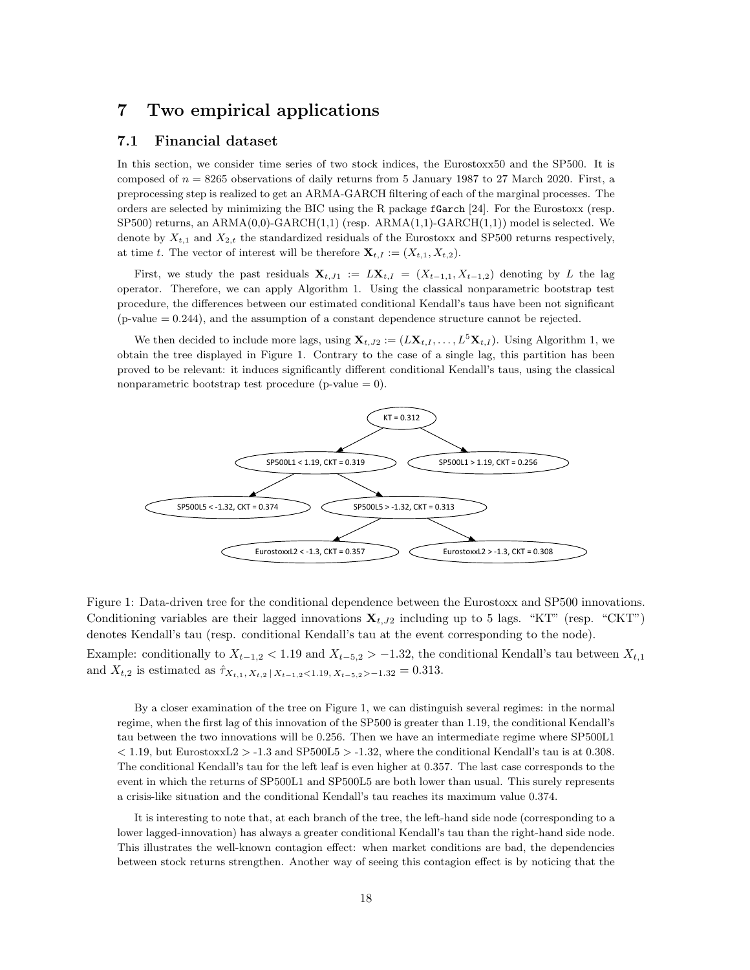## <span id="page-17-0"></span>7 Two empirical applications

#### 7.1 Financial dataset

In this section, we consider time series of two stock indices, the Eurostoxx50 and the SP500. It is composed of  $n = 8265$  observations of daily returns from 5 January 1987 to 27 March 2020. First, a preprocessing step is realized to get an ARMA-GARCH filtering of each of the marginal processes. The orders are selected by minimizing the BIC using the R package fGarch [\[24\]](#page-23-11). For the Eurostoxx (resp.  $SP500$ ) returns, an  $ARMA(0,0)-GARCH(1,1)$  (resp.  $ARMA(1,1)-GARCH(1,1)$ ) model is selected. We denote by  $X_{t,1}$  and  $X_{2,t}$  the standardized residuals of the Eurostoxx and SP500 returns respectively, at time t. The vector of interest will be therefore  $\mathbf{X}_{t,I} := (X_{t,1}, X_{t,2}).$ 

First, we study the past residuals  $\mathbf{X}_{t, J1} := L\mathbf{X}_{t, I} = (X_{t-1,1}, X_{t-1,2})$  denoting by L the lag operator. Therefore, we can apply Algorithm [1.](#page-10-0) Using the classical nonparametric bootstrap test procedure, the differences between our estimated conditional Kendall's taus have been not significant  $(p-value = 0.244)$ , and the assumption of a constant dependence structure cannot be rejected.

We then decided to include more lags, using  $\mathbf{X}_{t,J2} := (L\mathbf{X}_{t,I}, \dots, L^5\mathbf{X}_{t,I})$ . Using Algorithm [1,](#page-10-0) we obtain the tree displayed in Figure [1.](#page-17-1) Contrary to the case of a single lag, this partition has been proved to be relevant: it induces significantly different conditional Kendall's taus, using the classical nonparametric bootstrap test procedure (p-value  $= 0$ ).



<span id="page-17-1"></span>Figure 1: Data-driven tree for the conditional dependence between the Eurostoxx and SP500 innovations. Conditioning variables are their lagged innovations  $\mathbf{X}_{t,J2}$  including up to 5 lags. "KT" (resp. "CKT") denotes Kendall's tau (resp. conditional Kendall's tau at the event corresponding to the node). Example: conditionally to  $X_{t-1,2}$  < 1.19 and  $X_{t-5,2}$  > −1.32, the conditional Kendall's tau between  $X_{t,1}$ and  $X_{t,2}$  is estimated as  $\hat{\tau}_{X_{t,1}, X_{t,2} | X_{t-1,2} < 1.19, X_{t-5,2} > -1.32} = 0.313$ .

By a closer examination of the tree on Figure [1,](#page-17-1) we can distinguish several regimes: in the normal regime, when the first lag of this innovation of the SP500 is greater than 1.19, the conditional Kendall's tau between the two innovations will be 0.256. Then we have an intermediate regime where SP500L1  $<$  1.19, but EurostoxxL2 > -1.3 and SP500L5 > -1.32, where the conditional Kendall's tau is at 0.308. The conditional Kendall's tau for the left leaf is even higher at 0.357. The last case corresponds to the event in which the returns of SP500L1 and SP500L5 are both lower than usual. This surely represents a crisis-like situation and the conditional Kendall's tau reaches its maximum value 0.374.

It is interesting to note that, at each branch of the tree, the left-hand side node (corresponding to a lower lagged-innovation) has always a greater conditional Kendall's tau than the right-hand side node. This illustrates the well-known contagion effect: when market conditions are bad, the dependencies between stock returns strengthen. Another way of seeing this contagion effect is by noticing that the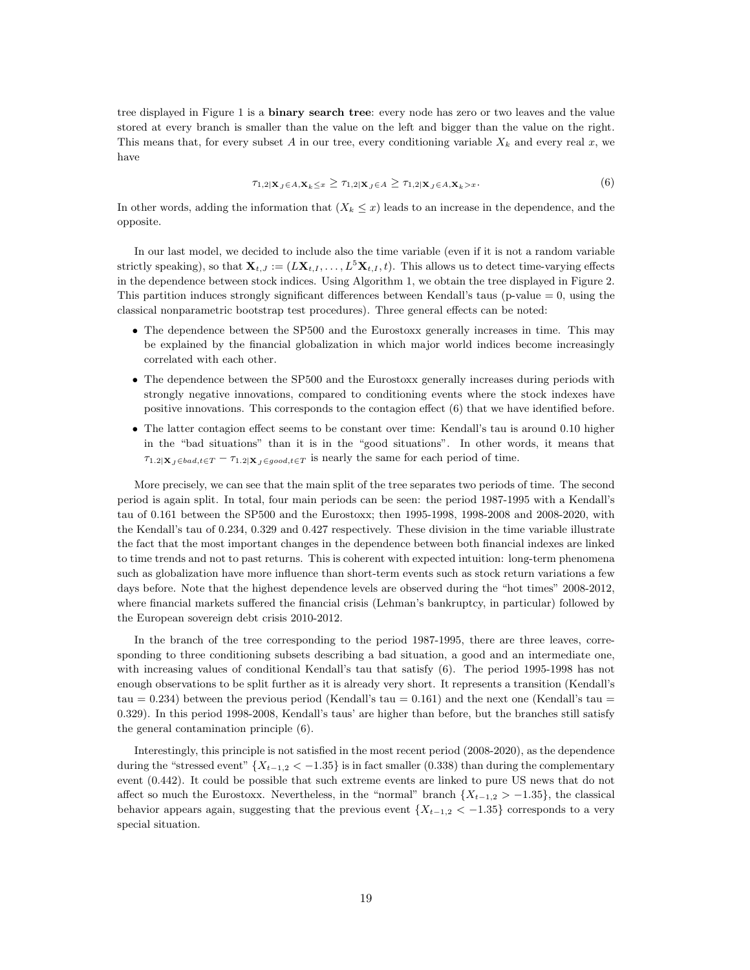tree displayed in Figure [1](#page-17-1) is a **binary search tree**: every node has zero or two leaves and the value stored at every branch is smaller than the value on the left and bigger than the value on the right. This means that, for every subset A in our tree, every conditioning variable  $X_k$  and every real x, we have

<span id="page-18-0"></span>
$$
\tau_{1,2|\mathbf{X}_J \in A, \mathbf{X}_k \leq x} \geq \tau_{1,2|\mathbf{X}_J \in A} \geq \tau_{1,2|\mathbf{X}_J \in A, \mathbf{X}_k > x}.\tag{6}
$$

In other words, adding the information that  $(X_k \leq x)$  leads to an increase in the dependence, and the opposite.

In our last model, we decided to include also the time variable (even if it is not a random variable strictly speaking), so that  $\mathbf{X}_{t,J} := (L\mathbf{X}_{t,I}, \ldots, L^5\mathbf{X}_{t,I}, t)$ . This allows us to detect time-varying effects in the dependence between stock indices. Using Algorithm [1,](#page-10-0) we obtain the tree displayed in Figure [2.](#page-19-0) This partition induces strongly significant differences between Kendall's taus (p-value  $= 0$ , using the classical nonparametric bootstrap test procedures). Three general effects can be noted:

- The dependence between the SP500 and the Eurostoxx generally increases in time. This may be explained by the financial globalization in which major world indices become increasingly correlated with each other.
- The dependence between the SP500 and the Eurostoxx generally increases during periods with strongly negative innovations, compared to conditioning events where the stock indexes have positive innovations. This corresponds to the contagion effect [\(6\)](#page-18-0) that we have identified before.
- The latter contagion effect seems to be constant over time: Kendall's tau is around 0.10 higher in the "bad situations" than it is in the "good situations". In other words, it means that  $\tau_{1.2|\mathbf{X}_J \in bad, t \in T} - \tau_{1.2|\mathbf{X}_J \in good, t \in T}$  is nearly the same for each period of time.

More precisely, we can see that the main split of the tree separates two periods of time. The second period is again split. In total, four main periods can be seen: the period 1987-1995 with a Kendall's tau of 0.161 between the SP500 and the Eurostoxx; then 1995-1998, 1998-2008 and 2008-2020, with the Kendall's tau of 0.234, 0.329 and 0.427 respectively. These division in the time variable illustrate the fact that the most important changes in the dependence between both financial indexes are linked to time trends and not to past returns. This is coherent with expected intuition: long-term phenomena such as globalization have more influence than short-term events such as stock return variations a few days before. Note that the highest dependence levels are observed during the "hot times" 2008-2012, where financial markets suffered the financial crisis (Lehman's bankruptcy, in particular) followed by the European sovereign debt crisis 2010-2012.

In the branch of the tree corresponding to the period 1987-1995, there are three leaves, corresponding to three conditioning subsets describing a bad situation, a good and an intermediate one, with increasing values of conditional Kendall's tau that satisfy [\(6\)](#page-18-0). The period 1995-1998 has not enough observations to be split further as it is already very short. It represents a transition (Kendall's tau  $= 0.234$ ) between the previous period (Kendall's tau  $= 0.161$ ) and the next one (Kendall's tau  $=$ 0.329). In this period 1998-2008, Kendall's taus' are higher than before, but the branches still satisfy the general contamination principle [\(6\)](#page-18-0).

Interestingly, this principle is not satisfied in the most recent period (2008-2020), as the dependence during the "stressed event"  ${X_{t-1,2} < -1.35}$  is in fact smaller (0.338) than during the complementary event (0.442). It could be possible that such extreme events are linked to pure US news that do not affect so much the Eurostoxx. Nevertheless, in the "normal" branch  $\{X_{t-1,2} > -1.35\}$ , the classical behavior appears again, suggesting that the previous event  ${X_{t-1,2} < -1.35}$  corresponds to a very special situation.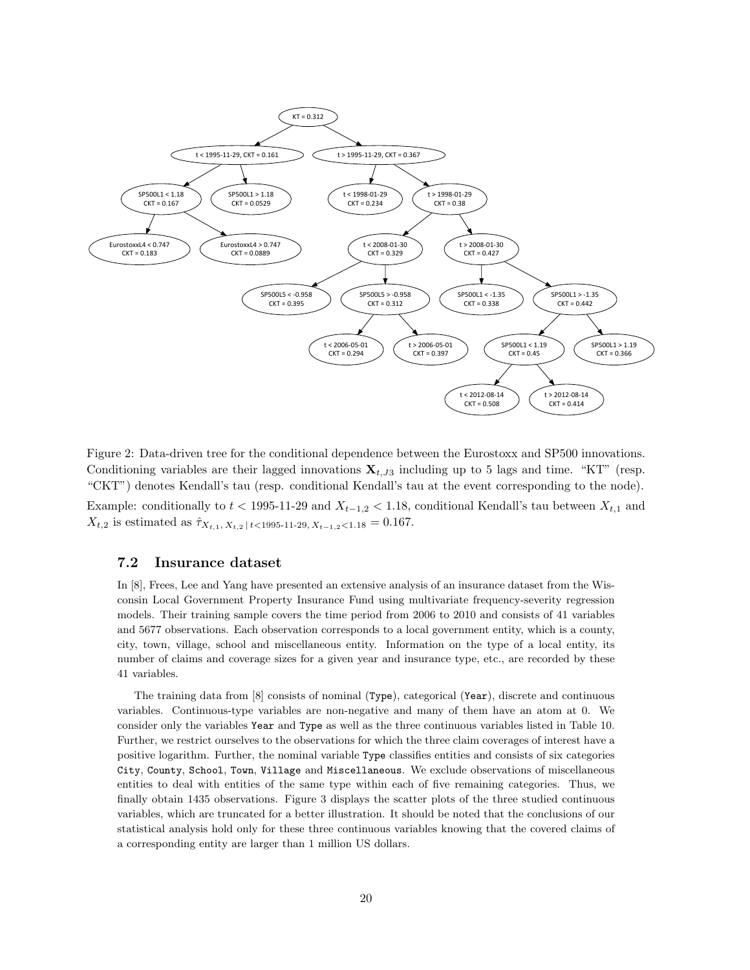

<span id="page-19-0"></span>Figure 2: Data-driven tree for the conditional dependence between the Eurostoxx and SP500 innovations. Conditioning variables are their lagged innovations  $\mathbf{X}_{t,J3}$  including up to 5 lags and time. "KT" (resp. "CKT") denotes Kendall's tau (resp. conditional Kendall's tau at the event corresponding to the node). Example: conditionally to  $t < 1995$ -11-29 and  $X_{t-1,2} < 1.18$ , conditional Kendall's tau between  $X_{t,1}$  and  $X_{t,2}$  is estimated as  $\hat{\tau}_{X_{t,1}, X_{t,2} \, | \, t < 1995-11-29, X_{t-1,2} < 1.18} = 0.167.$ 

#### 7.2 Insurance dataset

In [\[8\]](#page-23-12), Frees, Lee and Yang have presented an extensive analysis of an insurance dataset from the Wisconsin Local Government Property Insurance Fund using multivariate frequency-severity regression models. Their training sample covers the time period from 2006 to 2010 and consists of 41 variables and 5677 observations. Each observation corresponds to a local government entity, which is a county, city, town, village, school and miscellaneous entity. Information on the type of a local entity, its number of claims and coverage sizes for a given year and insurance type, etc., are recorded by these 41 variables.

The training data from [\[8\]](#page-23-12) consists of nominal (Type), categorical (Year), discrete and continuous variables. Continuous-type variables are non-negative and many of them have an atom at 0. We consider only the variables Year and Type as well as the three continuous variables listed in Table [10.](#page-20-0) Further, we restrict ourselves to the observations for which the three claim coverages of interest have a positive logarithm. Further, the nominal variable Type classifies entities and consists of six categories City, County, School, Town, Village and Miscellaneous. We exclude observations of miscellaneous entities to deal with entities of the same type within each of five remaining categories. Thus, we finally obtain 1435 observations. Figure [3](#page-20-1) displays the scatter plots of the three studied continuous variables, which are truncated for a better illustration. It should be noted that the conclusions of our statistical analysis hold only for these three continuous variables knowing that the covered claims of a corresponding entity are larger than 1 million US dollars.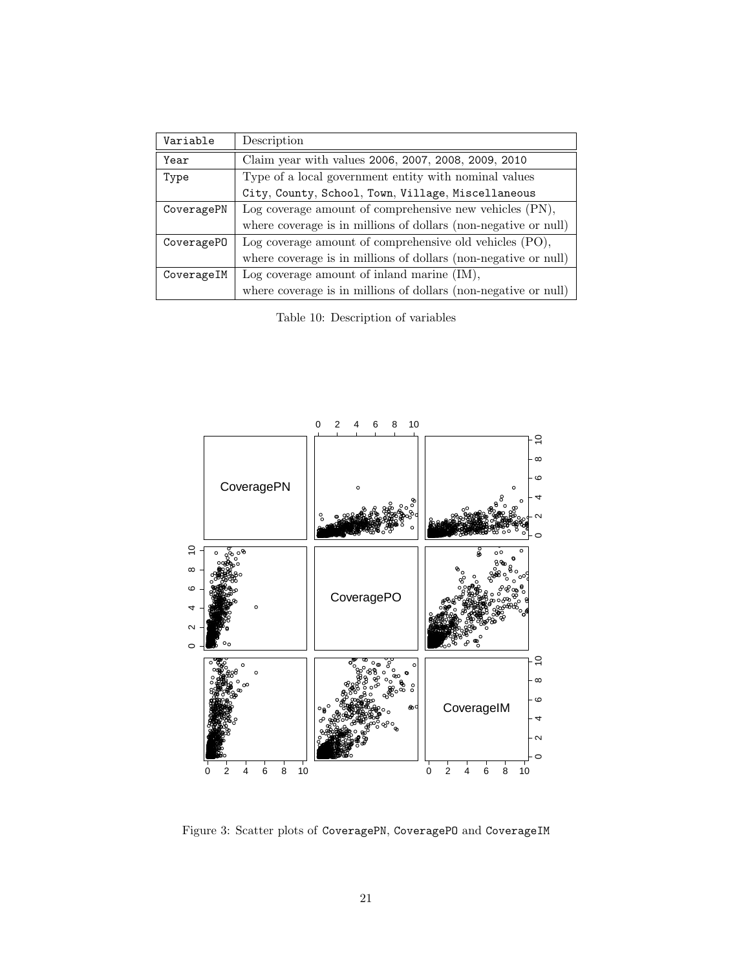| Variable   | Description                                                     |
|------------|-----------------------------------------------------------------|
| Year       | Claim year with values 2006, 2007, 2008, 2009, 2010             |
| Type       | Type of a local government entity with nominal values           |
|            | City, County, School, Town, Village, Miscellaneous              |
| CoveragePN | Log coverage amount of comprehensive new vehicles (PN),         |
|            | where coverage is in millions of dollars (non-negative or null) |
| CoveragePO | Log coverage amount of comprehensive old vehicles (PO),         |
|            | where coverage is in millions of dollars (non-negative or null) |
| CoverageIM | Log coverage amount of inland marine (IM),                      |
|            | where coverage is in millions of dollars (non-negative or null) |

<span id="page-20-0"></span>Table 10: Description of variables



<span id="page-20-1"></span>Figure 3: Scatter plots of CoveragePN, CoverageP0 and CoverageIM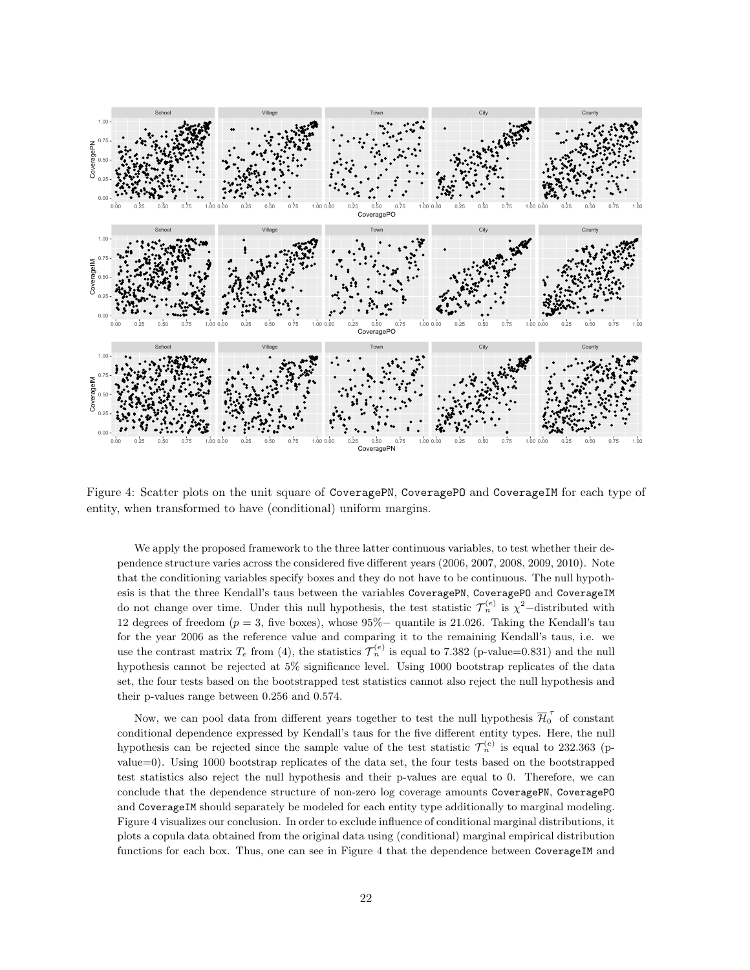

<span id="page-21-0"></span>Figure 4: Scatter plots on the unit square of CoveragePN, CoveragePO and CoverageIM for each type of entity, when transformed to have (conditional) uniform margins.

We apply the proposed framework to the three latter continuous variables, to test whether their dependence structure varies across the considered five different years (2006, 2007, 2008, 2009, 2010). Note that the conditioning variables specify boxes and they do not have to be continuous. The null hypothesis is that the three Kendall's taus between the variables CoveragePN, CoverageP0 and CoverageIM do not change over time. Under this null hypothesis, the test statistic  $\mathcal{T}_n^{(e)}$  is  $\chi^2$ -distributed with 12 degrees of freedom ( $p = 3$ , five boxes), whose 95% $-$  quantile is 21.026. Taking the Kendall's tau for the year 2006 as the reference value and comparing it to the remaining Kendall's taus, i.e. we use the contrast matrix  $T_e$  from [\(4\)](#page-7-1), the statistics  $\mathcal{T}_n^{(e)}$  is equal to 7.382 (p-value=0.831) and the null hypothesis cannot be rejected at 5% significance level. Using 1000 bootstrap replicates of the data set, the four tests based on the bootstrapped test statistics cannot also reject the null hypothesis and their p-values range between 0.256 and 0.574.

Now, we can pool data from different years together to test the null hypothesis  $\overline{\mathcal{H}}_0^{\tau}$  of constant conditional dependence expressed by Kendall's taus for the five different entity types. Here, the null hypothesis can be rejected since the sample value of the test statistic  $\mathcal{T}_n^{(e)}$  is equal to 232.363 (pvalue=0). Using 1000 bootstrap replicates of the data set, the four tests based on the bootstrapped test statistics also reject the null hypothesis and their p-values are equal to 0. Therefore, we can conclude that the dependence structure of non-zero log coverage amounts CoveragePN, CoveragePO and CoverageIM should separately be modeled for each entity type additionally to marginal modeling. Figure [4](#page-21-0) visualizes our conclusion. In order to exclude influence of conditional marginal distributions, it plots a copula data obtained from the original data using (conditional) marginal empirical distribution functions for each box. Thus, one can see in Figure [4](#page-21-0) that the dependence between CoverageIM and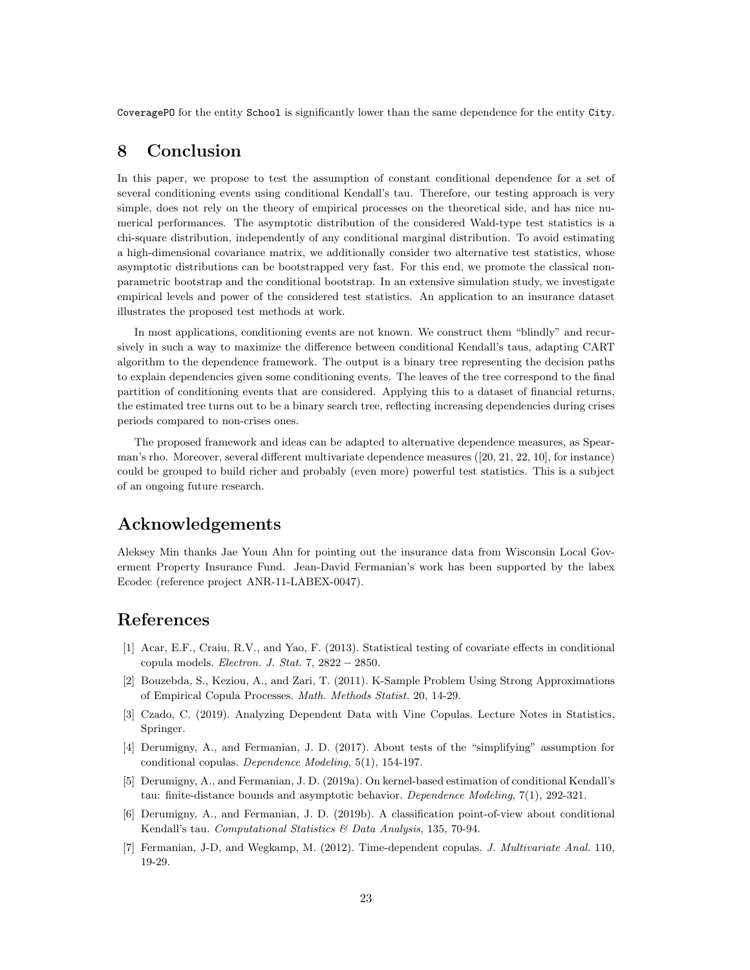CoveragePO for the entity School is significantly lower than the same dependence for the entity City.

## 8 Conclusion

In this paper, we propose to test the assumption of constant conditional dependence for a set of several conditioning events using conditional Kendall's tau. Therefore, our testing approach is very simple, does not rely on the theory of empirical processes on the theoretical side, and has nice numerical performances. The asymptotic distribution of the considered Wald-type test statistics is a chi-square distribution, independently of any conditional marginal distribution. To avoid estimating a high-dimensional covariance matrix, we additionally consider two alternative test statistics, whose asymptotic distributions can be bootstrapped very fast. For this end, we promote the classical nonparametric bootstrap and the conditional bootstrap. In an extensive simulation study, we investigate empirical levels and power of the considered test statistics. An application to an insurance dataset illustrates the proposed test methods at work.

In most applications, conditioning events are not known. We construct them "blindly" and recursively in such a way to maximize the difference between conditional Kendall's taus, adapting CART algorithm to the dependence framework. The output is a binary tree representing the decision paths to explain dependencies given some conditioning events. The leaves of the tree correspond to the final partition of conditioning events that are considered. Applying this to a dataset of financial returns, the estimated tree turns out to be a binary search tree, reflecting increasing dependencies during crises periods compared to non-crises ones.

The proposed framework and ideas can be adapted to alternative dependence measures, as Spearman's rho. Moreover, several different multivariate dependence measures ([\[20,](#page-23-13) [21,](#page-23-14) [22,](#page-23-15) [10\]](#page-23-16), for instance) could be grouped to build richer and probably (even more) powerful test statistics. This is a subject of an ongoing future research.

## Acknowledgements

Aleksey Min thanks Jae Youn Ahn for pointing out the insurance data from Wisconsin Local Goverment Property Insurance Fund. Jean-David Fermanian's work has been supported by the labex Ecodec (reference project ANR-11-LABEX-0047).

## References

- <span id="page-22-3"></span>[1] Acar, E.F., Craiu, R.V., and Yao, F. (2013). Statistical testing of covariate effects in conditional copula models. Electron. J. Stat. 7,  $2822 - 2850$ .
- <span id="page-22-0"></span>[2] Bouzebda, S., Keziou, A., and Zari, T. (2011). K-Sample Problem Using Strong Approximations of Empirical Copula Processes. Math. Methods Statist. 20, 14-29.
- <span id="page-22-2"></span>[3] Czado, C. (2019). Analyzing Dependent Data with Vine Copulas. Lecture Notes in Statistics, Springer.
- <span id="page-22-4"></span>[4] Derumigny, A., and Fermanian, J. D. (2017). About tests of the "simplifying" assumption for conditional copulas. Dependence Modeling, 5(1), 154-197.
- <span id="page-22-5"></span>[5] Derumigny, A., and Fermanian, J. D. (2019a). On kernel-based estimation of conditional Kendall's tau: finite-distance bounds and asymptotic behavior. Dependence Modeling, 7(1), 292-321.
- <span id="page-22-6"></span>[6] Derumigny, A., and Fermanian, J. D. (2019b). A classification point-of-view about conditional Kendall's tau. Computational Statistics & Data Analysis, 135, 70-94.
- <span id="page-22-1"></span>[7] Fermanian, J-D, and Wegkamp, M. (2012). Time-dependent copulas. J. Multivariate Anal. 110, 19-29.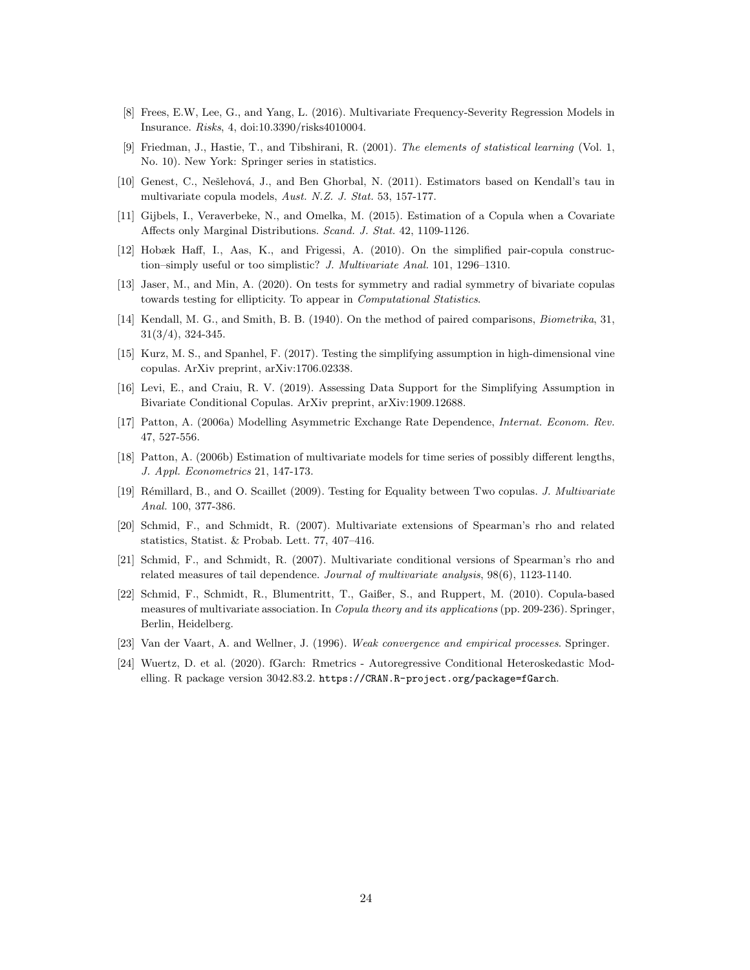- <span id="page-23-12"></span>[8] Frees, E.W, Lee, G., and Yang, L. (2016). Multivariate Frequency-Severity Regression Models in Insurance. Risks, 4, doi[:10.3390/risks4010004.](http://dx.doi.org/10.3390/risks4010004)
- <span id="page-23-10"></span>[9] Friedman, J., Hastie, T., and Tibshirani, R. (2001). The elements of statistical learning (Vol. 1, No. 10). New York: Springer series in statistics.
- <span id="page-23-16"></span>[10] Genest, C., Nešlehová, J., and Ben Ghorbal, N. (2011). Estimators based on Kendall's tau in multivariate copula models, Aust. N.Z. J. Stat. 53, 157-177.
- <span id="page-23-6"></span>[11] Gijbels, I., Veraverbeke, N., and Omelka, M. (2015). Estimation of a Copula when a Covariate Affects only Marginal Distributions. Scand. J. Stat. 42, 1109-1126.
- <span id="page-23-3"></span>[12] Hobæk Haff, I., Aas, K., and Frigessi, A. (2010). On the simplified pair-copula construction–simply useful or too simplistic? J. Multivariate Anal. 101, 1296–1310.
- <span id="page-23-7"></span>[13] Jaser, M., and Min, A. (2020). On tests for symmetry and radial symmetry of bivariate copulas towards testing for ellipticity. To appear in Computational Statistics.
- <span id="page-23-8"></span>[14] Kendall, M. G., and Smith, B. B. (1940). On the method of paired comparisons, *Biometrika*, 31, 31(3/4), 324-345.
- <span id="page-23-4"></span>[15] Kurz, M. S., and Spanhel, F. (2017). Testing the simplifying assumption in high-dimensional vine copulas. ArXiv preprint, arXiv:1706.02338.
- <span id="page-23-5"></span>[16] Levi, E., and Craiu, R. V. (2019). Assessing Data Support for the Simplifying Assumption in Bivariate Conditional Copulas. ArXiv preprint, arXiv:1909.12688.
- <span id="page-23-1"></span>[17] Patton, A. (2006a) Modelling Asymmetric Exchange Rate Dependence, Internat. Econom. Rev. 47, 527-556.
- <span id="page-23-2"></span>[18] Patton, A. (2006b) Estimation of multivariate models for time series of possibly different lengths, J. Appl. Econometrics 21, 147-173.
- <span id="page-23-0"></span>[19] Rémillard, B., and O. Scaillet (2009). Testing for Equality between Two copulas. J. Multivariate Anal. 100, 377-386.
- <span id="page-23-13"></span>[20] Schmid, F., and Schmidt, R. (2007). Multivariate extensions of Spearman's rho and related statistics, Statist. & Probab. Lett. 77, 407–416.
- <span id="page-23-14"></span>[21] Schmid, F., and Schmidt, R. (2007). Multivariate conditional versions of Spearman's rho and related measures of tail dependence. Journal of multivariate analysis, 98(6), 1123-1140.
- <span id="page-23-15"></span>[22] Schmid, F., Schmidt, R., Blumentritt, T., Gaißer, S., and Ruppert, M. (2010). Copula-based measures of multivariate association. In Copula theory and its applications (pp. 209-236). Springer, Berlin, Heidelberg.
- <span id="page-23-9"></span>[23] Van der Vaart, A. and Wellner, J. (1996). Weak convergence and empirical processes. Springer.
- <span id="page-23-11"></span>[24] Wuertz, D. et al. (2020). fGarch: Rmetrics - Autoregressive Conditional Heteroskedastic Modelling. R package version 3042.83.2. <https://CRAN.R-project.org/package=fGarch>.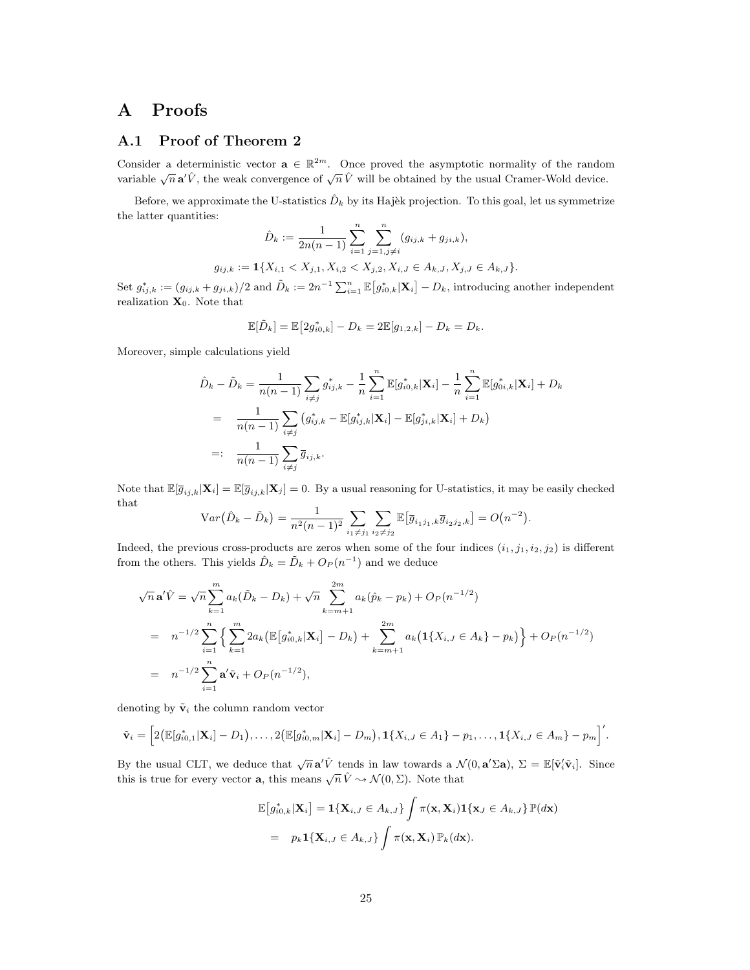## A Proofs

## <span id="page-24-0"></span>A.1 Proof of Theorem [2](#page-5-2)

Consider a deterministic vector  $\mathbf{a} \in \mathbb{R}^{2m}$ . Once proved the asymptotic normality of the random variable  $\sqrt{n} \mathbf{a}' \hat{V}$ , the weak convergence of  $\sqrt{n} \hat{V}$  will be obtained by the usual Cramer-Wold device.

Before, we approximate the U-statistics  $\hat{D}_k$  by its Hajèk projection. To this goal, let us symmetrize the latter quantities:

$$
\hat{D}_k := \frac{1}{2n(n-1)} \sum_{i=1}^n \sum_{j=1, j \neq i}^n (g_{ij,k} + g_{ji,k}),
$$
  

$$
g_{ij,k} := \mathbf{1} \{ X_{i,1} < X_{j,1}, X_{i,2} < X_{j,2}, X_{i,J} \in A_{k,J}, X_{j,J} \in A_{k,J} \}.
$$

Set  $g_{ij,k}^* := (g_{ij,k} + g_{ji,k})/2$  and  $\tilde{D}_k := 2n^{-1} \sum_{i=1}^n \mathbb{E}[g_{i0,k}^* | \mathbf{X}_i] - D_k$ , introducing another independent realization  $\mathbf{X}_0$ . Note that

$$
\mathbb{E}[\tilde{D}_k] = \mathbb{E}\big[2g_{i0,k}^*\big] - D_k = 2\mathbb{E}[g_{1,2,k}] - D_k = D_k.
$$

Moreover, simple calculations yield

$$
\hat{D}_{k} - \tilde{D}_{k} = \frac{1}{n(n-1)} \sum_{i \neq j} g_{ij,k}^{*} - \frac{1}{n} \sum_{i=1}^{n} \mathbb{E}[g_{i0,k}^{*} | \mathbf{X}_{i}] - \frac{1}{n} \sum_{i=1}^{n} \mathbb{E}[g_{0i,k}^{*} | \mathbf{X}_{i}] + D_{k}
$$
\n
$$
= \frac{1}{n(n-1)} \sum_{i \neq j} (g_{ij,k}^{*} - \mathbb{E}[g_{ij,k}^{*} | \mathbf{X}_{i}] - \mathbb{E}[g_{ji,k}^{*} | \mathbf{X}_{i}] + D_{k})
$$
\n
$$
=: \frac{1}{n(n-1)} \sum_{i \neq j} \overline{g}_{ij,k}.
$$

Note that  $\mathbb{E}[\overline{g}_{ij,k}|\mathbf{X}_i] = \mathbb{E}[\overline{g}_{ij,k}|\mathbf{X}_j] = 0$ . By a usual reasoning for U-statistics, it may be easily checked that

$$
Var(\hat{D}_k - \tilde{D}_k) = \frac{1}{n^2(n-1)^2} \sum_{i_1 \neq j_1} \sum_{i_2 \neq j_2} \mathbb{E}[\overline{g}_{i_1 j_1, k} \overline{g}_{i_2 j_2, k}] = O(n^{-2}).
$$

Indeed, the previous cross-products are zeros when some of the four indices  $(i_1, j_1, i_2, j_2)$  is different from the others. This yields  $\hat{D}_k = \tilde{D}_k + O_P(n^{-1})$  and we deduce

$$
\sqrt{n} \mathbf{a}' \hat{V} = \sqrt{n} \sum_{k=1}^{m} a_k (\tilde{D}_k - D_k) + \sqrt{n} \sum_{k=m+1}^{2m} a_k (\hat{p}_k - p_k) + O_P(n^{-1/2})
$$
  
=  $n^{-1/2} \sum_{i=1}^{n} \left\{ \sum_{k=1}^{m} 2a_k (\mathbb{E}[g_{i0,k}^*|\mathbf{X}_i] - D_k) + \sum_{k=m+1}^{2m} a_k (\mathbf{1}\{X_{i,J} \in A_k\} - p_k) \right\} + O_P(n^{-1/2})$   
=  $n^{-1/2} \sum_{i=1}^{n} \mathbf{a}' \tilde{\mathbf{v}}_i + O_P(n^{-1/2}),$ 

denoting by  $\tilde{\mathbf{v}}_i$  the column random vector

$$
\tilde{\mathbf{v}}_i = \Big[2\big(\mathbb{E}[g_{i0,1}^*|\mathbf{X}_i] - D_1\big), \ldots, 2\big(\mathbb{E}[g_{i0,m}^*|\mathbf{X}_i] - D_m\big), \mathbf{1}\{X_{i,J} \in A_1\} - p_1, \ldots, \mathbf{1}\{X_{i,J} \in A_m\} - p_m\Big]'
$$

By the usual CLT, we deduce that  $\sqrt{n} \mathbf{a}' \hat{V}$  tends in law towards a  $\mathcal{N}(0, \mathbf{a}' \Sigma \mathbf{a})$ ,  $\Sigma = \mathbb{E}[\tilde{\mathbf{v}}'_i \tilde{\mathbf{v}}_i]$ . Since this is true for every vector **a**, this means  $\sqrt{n} \hat{V} \rightarrow \mathcal{N}(0, \Sigma)$ . Note that

$$
\mathbb{E}\big[g_{i0,k}^*|\mathbf{X}_i\big] = \mathbf{1}\{\mathbf{X}_{i,J} \in A_{k,J}\} \int \pi(\mathbf{x},\mathbf{X}_i) \mathbf{1}\{\mathbf{x}_J \in A_{k,J}\} \mathbb{P}(d\mathbf{x})
$$
  
=  $p_k \mathbf{1}\{\mathbf{X}_{i,J} \in A_{k,J}\} \int \pi(\mathbf{x},\mathbf{X}_i) \mathbb{P}_k(d\mathbf{x}).$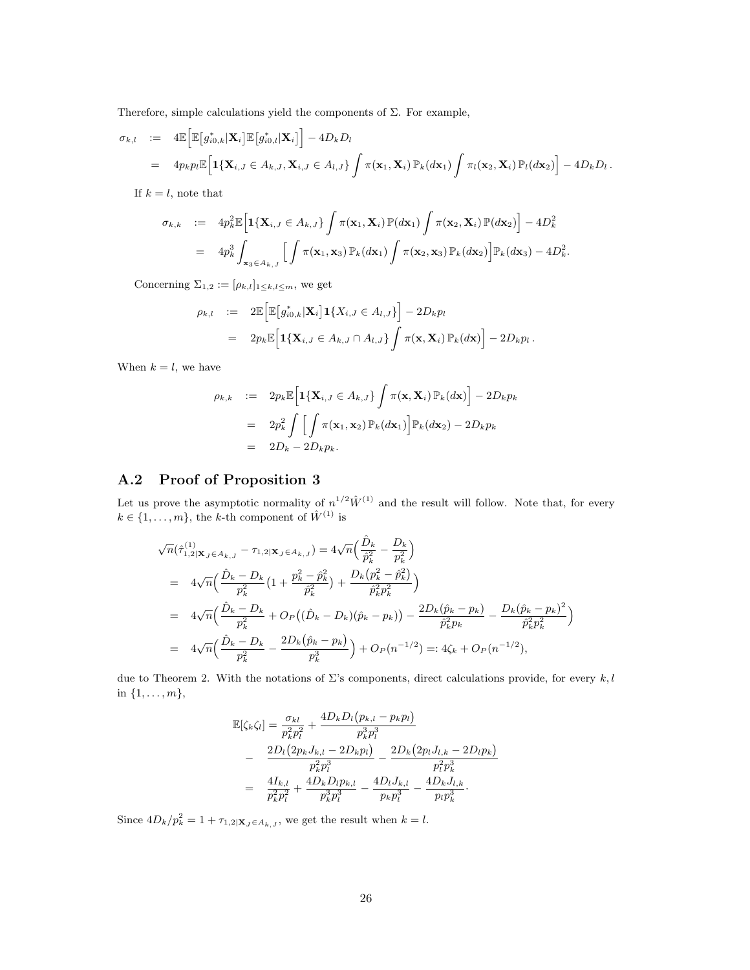Therefore, simple calculations yield the components of  $\Sigma$ . For example,

$$
\sigma_{k,l} \quad := \quad 4\mathbb{E}\Big[\mathbb{E}\big[g_{i0,k}^*\vert \mathbf{X}_i\big]\mathbb{E}\big[g_{i0,l}^*\vert \mathbf{X}_i\big]\Big] - 4D_kD_l
$$
\n
$$
= \quad 4p_kp_l\mathbb{E}\Big[\mathbf{1}\{\mathbf{X}_{i,J}\in A_{k,J}, \mathbf{X}_{i,J}\in A_{l,J}\}\int \pi(\mathbf{x}_1,\mathbf{X}_i)\,\mathbb{P}_k(d\mathbf{x}_1)\int \pi_l(\mathbf{x}_2,\mathbf{X}_i)\,\mathbb{P}_l(d\mathbf{x}_2)\Big] - 4D_kD_l.
$$

If  $k = l$ , note that

$$
\sigma_{k,k} := 4p_k^2 \mathbb{E}\Big[\mathbf{1}\{\mathbf{X}_{i,J} \in A_{k,J}\} \int \pi(\mathbf{x}_1,\mathbf{X}_i) \mathbb{P}(d\mathbf{x}_1) \int \pi(\mathbf{x}_2,\mathbf{X}_i) \mathbb{P}(d\mathbf{x}_2)\Big] - 4D_k^2
$$
  
=  $4p_k^3 \int_{\mathbf{x}_3 \in A_{k,J}} \Big[\int \pi(\mathbf{x}_1,\mathbf{x}_3) \mathbb{P}_k(d\mathbf{x}_1) \int \pi(\mathbf{x}_2,\mathbf{x}_3) \mathbb{P}_k(d\mathbf{x}_2)\Big] \mathbb{P}_k(d\mathbf{x}_3) - 4D_k^2.$ 

Concerning  $\Sigma_{1,2} := [\rho_{k,l}]_{1 \leq k,l \leq m}$ , we get

$$
\rho_{k,l} := 2\mathbb{E}\Big[\mathbb{E}\big[g_{i0,k}^*\vert \mathbf{X}_i\big]\mathbf{1}\{X_{i,J} \in A_{l,J}\}\Big] - 2D_k p_l
$$
  
=  $2p_k \mathbb{E}\Big[\mathbf{1}\{\mathbf{X}_{i,J} \in A_{k,J} \cap A_{l,J}\}\int \pi(\mathbf{x},\mathbf{X}_i)\mathbb{P}_k(d\mathbf{x})\Big] - 2D_k p_l.$ 

When  $k = l$ , we have

$$
\rho_{k,k} := 2p_k \mathbb{E} \Big[ \mathbf{1} \{ \mathbf{X}_{i,J} \in A_{k,J} \} \int \pi(\mathbf{x}, \mathbf{X}_i) \, \mathbb{P}_k(dx) \Big] - 2D_k p_k
$$
  
= 
$$
2p_k^2 \int \Big[ \int \pi(\mathbf{x}_1, \mathbf{x}_2) \, \mathbb{P}_k(dx_1) \Big] \mathbb{P}_k(dx_2) - 2D_k p_k
$$
  
= 
$$
2D_k - 2D_k p_k.
$$

## <span id="page-25-0"></span>A.2 Proof of Proposition [3](#page-5-0)

Let us prove the asymptotic normality of  $n^{1/2} \hat{W}^{(1)}$  and the result will follow. Note that, for every  $k \in \{1, \ldots, m\}$ , the k-th component of  $\hat{W}^{(1)}$  is

$$
\sqrt{n}(\hat{\tau}_{1,2|\mathbf{X}_{J}\in A_{k,J}}^{(1)} - \tau_{1,2|\mathbf{X}_{J}\in A_{k,J}}) = 4\sqrt{n} \Big(\frac{\hat{D}_{k}}{\hat{p}_{k}^{2}} - \frac{D_{k}}{p_{k}^{2}}\Big)
$$
  
\n
$$
= 4\sqrt{n} \Big(\frac{\hat{D}_{k} - D_{k}}{p_{k}^{2}}\Big(1 + \frac{p_{k}^{2} - \hat{p}_{k}^{2}}{\hat{p}_{k}^{2}}\Big) + \frac{D_{k}(p_{k}^{2} - \hat{p}_{k}^{2})}{\hat{p}_{k}^{2}p_{k}^{2}}\Big)
$$
  
\n
$$
= 4\sqrt{n} \Big(\frac{\hat{D}_{k} - D_{k}}{p_{k}^{2}} + O_{P}\Big((\hat{D}_{k} - D_{k})(\hat{p}_{k} - p_{k})\Big) - \frac{2D_{k}(\hat{p}_{k} - p_{k})}{\hat{p}_{k}^{2}p_{k}} - \frac{D_{k}(\hat{p}_{k} - p_{k})^{2}}{\hat{p}_{k}^{2}p_{k}^{2}}\Big)
$$
  
\n
$$
= 4\sqrt{n} \Big(\frac{\hat{D}_{k} - D_{k}}{p_{k}^{2}} - \frac{2D_{k}(\hat{p}_{k} - p_{k})}{p_{k}^{3}}\Big) + O_{P}(n^{-1/2}) =: 4\zeta_{k} + O_{P}(n^{-1/2}),
$$

due to Theorem [2.](#page-5-2) With the notations of  $\Sigma$ 's components, direct calculations provide, for every k, l in  $\{1, \ldots, m\},\$ 

$$
\mathbb{E}[\zeta_k \zeta_l] = \frac{\sigma_{kl}}{p_k^2 p_l^2} + \frac{4D_k D_l (p_{k,l} - p_k p_l)}{p_k^3 p_l^3} \n- \frac{2D_l (2p_k J_{k,l} - 2D_k p_l)}{p_k^2 p_l^3} - \frac{2D_k (2p_l J_{l,k} - 2D_l p_k)}{p_l^2 p_k^3} \n= \frac{4I_{k,l}}{p_k^2 p_l^2} + \frac{4D_k D_l p_{k,l}}{p_k^3 p_l^3} - \frac{4D_l J_{k,l}}{p_k p_l^3} - \frac{4D_k J_{l,k}}{p_l p_k^3}.
$$

Since  $4D_k/p_k^2 = 1 + \tau_{1,2|\mathbf{X}_J \in A_{k,J}}$ , we get the result when  $k = l$ .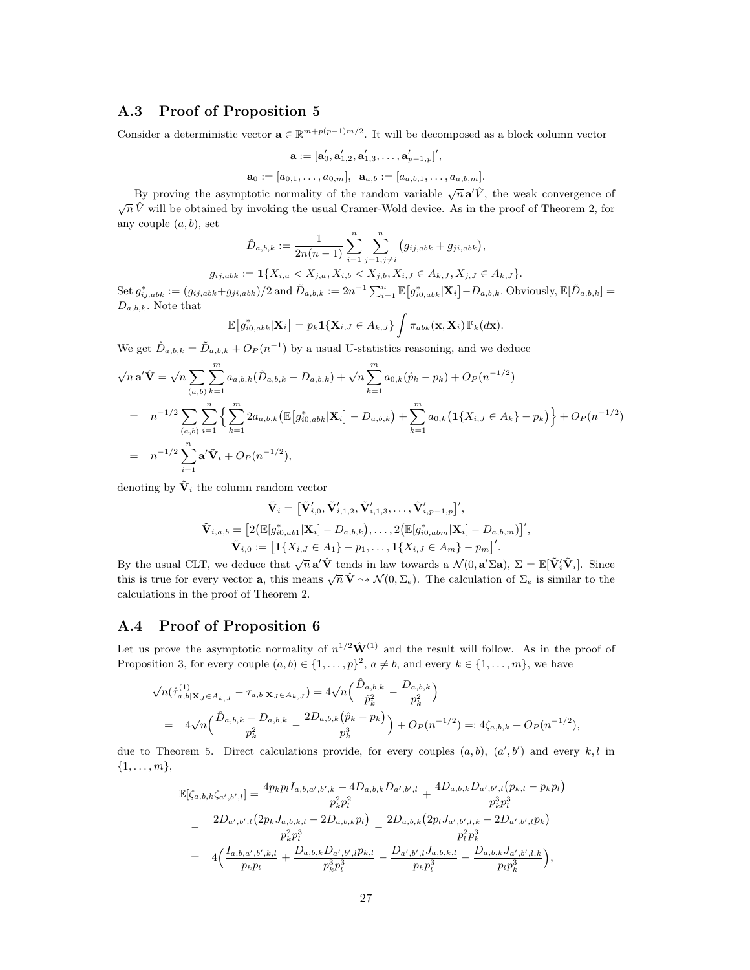### A.3 Proof of Proposition [5](#page-7-2)

Consider a deterministic vector  $\mathbf{a} \in \mathbb{R}^{m+p(p-1)m/2}$ . It will be decomposed as a block column vector

$$
\mathbf{a}:=[\mathbf{a}_0', \mathbf{a}_{1,2}', \mathbf{a}_{1,3}', \ldots, \mathbf{a}_{p-1,p}'']',
$$

$$
\mathbf{a}_0:=[a_{0,1},\ldots,a_{0,m}],\;\;\mathbf{a}_{a,b}:=[a_{a,b,1},\ldots,a_{a,b,m}].
$$

By proving the asymptotic normality of the random variable  $\sqrt{n} \mathbf{a}' \hat{V}$ , the weak convergence of  $\sqrt{n} \hat{V}$  will be obtained by invoking the usual Cramer-Wold device. As in the proof of Theorem [2,](#page-5-2) for any couple  $(a, b)$ , set

$$
\hat{D}_{a,b,k} := \frac{1}{2n(n-1)} \sum_{i=1}^{n} \sum_{j=1, j \neq i}^{n} (g_{ij,abb} + g_{ji,abb}),
$$

$$
g_{ij,abk} := \mathbf{1}\{X_{i,a} < X_{j,a}, X_{i,b} < X_{j,b}, X_{i,J} \in A_{k,J}, X_{j,J} \in A_{k,J}\}.
$$

 $\operatorname{Set} g_{ij,abb}^* := (g_{ij,abb} + g_{ji,abb})/2 \text{ and } \tilde{D}_{a,b,k} := 2n^{-1} \sum_{i=1}^n \mathbb{E} \big[ g_{i0,abb}^* | \mathbf{X}_i \big] - D_{a,b,k}. \text{ Obviously, } \mathbb{E} [\tilde{D}_{a,b,k}] =$  $D_{a,b,k}$ . Note that

$$
\mathbb{E}\big[g_{i0,abk}^*|\mathbf{X}_i\big] = p_k \mathbf{1}\{\mathbf{X}_{i,J} \in A_{k,J}\} \int \pi_{abk}(\mathbf{x},\mathbf{X}_i) \, \mathbb{P}_k(d\mathbf{x}).
$$

We get  $\hat{D}_{a,b,k} = \tilde{D}_{a,b,k} + O_P(n^{-1})$  by a usual U-statistics reasoning, and we deduce

$$
\sqrt{n} \mathbf{a}' \hat{\mathbf{V}} = \sqrt{n} \sum_{(a,b)} \sum_{k=1}^{m} a_{a,b,k} (\tilde{D}_{a,b,k} - D_{a,b,k}) + \sqrt{n} \sum_{k=1}^{m} a_{0,k} (\hat{p}_k - p_k) + O_P(n^{-1/2})
$$
  
\n
$$
= n^{-1/2} \sum_{(a,b)} \sum_{i=1}^{n} \left\{ \sum_{k=1}^{m} 2a_{a,b,k} (\mathbb{E}[g_{i0,abb}^* | \mathbf{X}_i] - D_{a,b,k}) + \sum_{k=1}^{m} a_{0,k} (1\{X_{i,J} \in A_k\} - p_k) \right\} + O_P(n^{-1/2})
$$
  
\n
$$
= n^{-1/2} \sum_{i=1}^{n} \mathbf{a}' \tilde{\mathbf{V}}_i + O_P(n^{-1/2}),
$$

denoting by  $\tilde{\mathbf{V}}_i$  the column random vector

$$
\tilde{\mathbf{V}}_{i} = \left[\tilde{\mathbf{V}}'_{i,0}, \tilde{\mathbf{V}}'_{i,1,2}, \tilde{\mathbf{V}}'_{i,1,3}, \dots, \tilde{\mathbf{V}}'_{i,p-1,p}\right]',
$$
\n
$$
\tilde{\mathbf{V}}_{i,a,b} = \left[2\left(\mathbb{E}[g_{i0,ab1}^{*}|\mathbf{X}_{i}]-D_{a,b,k}\right), \dots, 2\left(\mathbb{E}[g_{i0,abm}^{*}|\mathbf{X}_{i}]-D_{a,b,m}\right)\right]',
$$
\n
$$
\tilde{\mathbf{V}}_{i,0} := \left[1\{X_{i,J} \in A_1\} - p_1, \dots, 1\{X_{i,J} \in A_m\} - p_m\right]'.
$$

By the usual CLT, we deduce that  $\sqrt{n} \mathbf{a}' \hat{\mathbf{V}}$  tends in law towards a  $\mathcal{N}(0, \mathbf{a}' \Sigma \mathbf{a}), \Sigma = \mathbb{E}[\tilde{\mathbf{V}}'_i \tilde{\mathbf{V}}_i]$ . Since this is true for every vector **a**, this means  $\sqrt{n} \hat{\mathbf{V}} \sim \mathcal{N}(0, \Sigma_e)$ . The calculation of  $\Sigma_e$  is similar to the calculations in the proof of Theorem [2.](#page-5-2)

### A.4 Proof of Proposition [6](#page-7-3)

Let us prove the asymptotic normality of  $n^{1/2} \hat{W}^{(1)}$  and the result will follow. As in the proof of Proposition [3,](#page-5-0) for every couple  $(a, b) \in \{1, \ldots, p\}^2$ ,  $a \neq b$ , and every  $k \in \{1, \ldots, m\}$ , we have

$$
\sqrt{n}(\hat{\tau}_{a,b|\mathbf{X}_{J}\in A_{k,J}}^{(1)} - \tau_{a,b|\mathbf{X}_{J}\in A_{k,J}}) = 4\sqrt{n}\left(\frac{\hat{D}_{a,b,k}}{\hat{p}_{k}^{2}} - \frac{D_{a,b,k}}{p_{k}^{2}}\right)
$$
  
=  $4\sqrt{n}\left(\frac{\hat{D}_{a,b,k} - D_{a,b,k}}{p_{k}^{2}} - \frac{2D_{a,b,k}(\hat{p}_{k} - p_{k})}{p_{k}^{3}}\right) + O_{P}(n^{-1/2}) =: 4\zeta_{a,b,k} + O_{P}(n^{-1/2}),$ 

due to Theorem [5.](#page-7-2) Direct calculations provide, for every couples  $(a, b)$ ,  $(a', b')$  and every  $k, l$  in  $\{1,\ldots,m\},\$ 

$$
\mathbb{E}[\zeta_{a,b,k}\zeta_{a',b',l}] = \frac{4p_k p_l I_{a,b,a',b',k} - 4D_{a,b,k}D_{a',b',l}}{p_k^2 p_l^2} + \frac{4D_{a,b,k}D_{a',b',l}(p_{k,l} - p_k p_l)}{p_k^3 p_l^3}
$$
  

$$
- \frac{2D_{a',b',l}(2p_k J_{a,b,k,l} - 2D_{a,b,k} p_l)}{p_k^2 p_l^3} - \frac{2D_{a,b,k}(2p_l J_{a',b',l,k} - 2D_{a',b',l} p_k)}{p_l^2 p_k^3}
$$
  

$$
= 4\Big(\frac{I_{a,b,a',b',k,l}}{p_k p_l} + \frac{D_{a,b,k}D_{a',b',l} p_{k,l}}{p_k^3 p_l^3} - \frac{D_{a',b',l}J_{a,b,k,l}}{p_k p_l^3} - \frac{D_{a,b,k}J_{a',b',l,k}}{p_l p_k^3}\Big),
$$